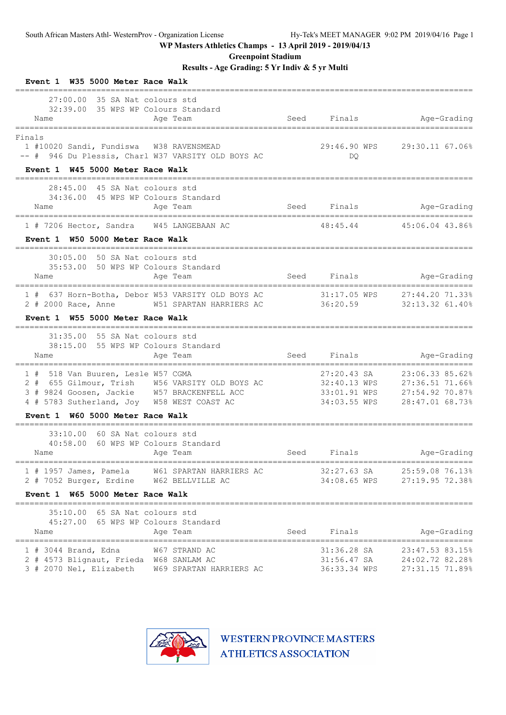**Greenpoint Stadium**

**Results - Age Grading: 5 Yr Indiv & 5 yr Multi**

| W35 5000 Meter Race Walk<br>Event 1                                                                                                                                                                                    |      |                                            |                                                                                                    |
|------------------------------------------------------------------------------------------------------------------------------------------------------------------------------------------------------------------------|------|--------------------------------------------|----------------------------------------------------------------------------------------------------|
| $27:00.00$ 35 SA Nat colours std<br>32:39.00 35 WPS WP Colours Standard<br>Name<br>Age Team<br>============                                                                                                            | Seed | Finals                                     | Age-Grading                                                                                        |
| Finals<br>1 #10020 Sandi, Fundiswa W38 RAVENSMEAD<br>-- # 946 Du Plessis, Charl W37 VARSITY OLD BOYS AC                                                                                                                |      | DQ.                                        | 29:46.90 WPS 29:30.11 67.06%                                                                       |
| Event 1 W45 5000 Meter Race Walk                                                                                                                                                                                       |      |                                            |                                                                                                    |
| 28:45.00 45 SA Nat colours std<br>34:36.00 45 WPS WP Colours Standard<br>Age Team<br>Name                                                                                                                              | Seed | Finals                                     | Age-Grading                                                                                        |
| 1 # 7206 Hector, Sandra W45 LANGEBAAN AC<br>Event 1 W50 5000 Meter Race Walk                                                                                                                                           |      | 48:45.44                                   | 45:06.04 43.86%                                                                                    |
| 30:05.00 50 SA Nat colours std<br>35:53.00 50 WPS WP Colours Standard<br>Age Team<br>Name                                                                                                                              |      | Seed Finals                                | Age-Grading                                                                                        |
| 1 # 637 Horn-Botha, Debor W53 VARSITY OLD BOYS AC<br>2 # 2000 Race, Anne<br>W51 SPARTAN HARRIERS AC                                                                                                                    |      | 31:17.05 WPS<br>36:20.59                   | 27:44.20 71.33%<br>32:13.32 61.40%                                                                 |
| W55 5000 Meter Race Walk<br>Event 1<br>_______________________________                                                                                                                                                 |      |                                            |                                                                                                    |
| 31:35.00 55 SA Nat colours std<br>38:15.00 55 WPS WP Colours Standard<br>Age Team<br>Name                                                                                                                              | Seed | Finals                                     | Age-Grading                                                                                        |
| =================================<br>1 # 518 Van Buuren, Lesle W57 CGMA<br>2 # 655 Gilmour, Trish W56 VARSITY OLD BOYS AC<br>3 # 9824 Goosen, Jackie W57 BRACKENFELL ACC<br>4 # 5783 Sutherland, Joy W58 WEST COAST AC |      | 27:20.43 SA<br>34:03.55 WPS                | 23:06.33 85.62%<br>32:40.13 WPS 27:36.51 71.66%<br>33:01.91 WPS 27:54.92 70.87%<br>28:47.01 68.73% |
| Event 1 W60 5000 Meter Race Walk                                                                                                                                                                                       |      |                                            |                                                                                                    |
| 33:10.00<br>60 SA Nat colours std<br>60 WPS WP Colours Standard<br>40:58.00<br>Name<br>Age Team                                                                                                                        | Seed | Finals                                     | Age-Grading                                                                                        |
| 1 # 1957 James, Pamela W61 SPARTAN HARRIERS AC<br>W62 BELLVILLE AC<br>2 # 7052 Burger, Erdine                                                                                                                          |      | 32:27.63 SA<br>34:08.65 WPS                | 25:59.08 76.13%<br>27:19.95 72.38%                                                                 |
| W65 5000 Meter Race Walk<br>Event 1                                                                                                                                                                                    |      |                                            |                                                                                                    |
| $35:10.00$ 65 SA Nat colours std<br>45:27.00 65 WPS WP Colours Standard<br>Age Team<br>Name                                                                                                                            | Seed | Finals                                     | Age-Grading                                                                                        |
| $1$ # 3044 Brand, Edna<br>W67 STRAND AC<br>2 # 4573 Blignaut, Frieda W68 SANLAM AC<br>3 # 2070 Nel, Elizabeth<br>W69 SPARTAN HARRIERS AC                                                                               |      | 31:36.28 SA<br>31:56.47 SA<br>36:33.34 WPS | 23:47.53 83.15%<br>24:02.72 82.28%<br>27:31.15 71.89%                                              |

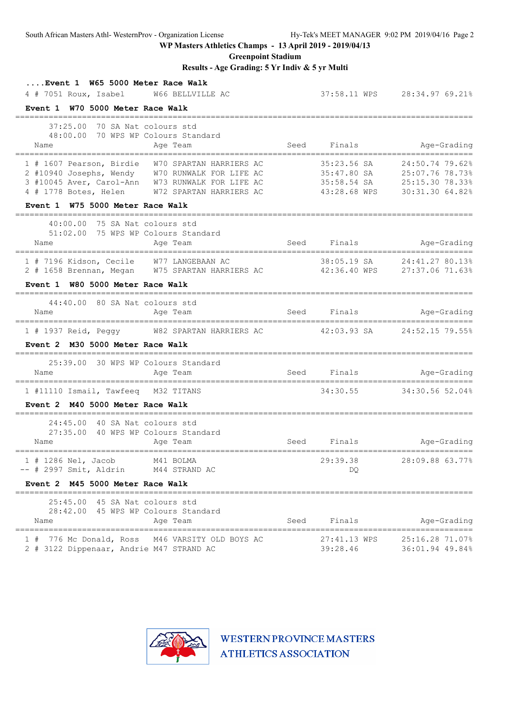**Greenpoint Stadium**

## **Results - Age Grading: 5 Yr Indiv & 5 yr Multi**

| Event 1 W65 5000 Meter Race Walk<br>4 # 7051 Roux, Isabel W66 BELLVILLE AC                                                                                                                                                                                                             |      |                          | 37:58.11 WPS 28:34.97 69.21%                                                                                  |
|----------------------------------------------------------------------------------------------------------------------------------------------------------------------------------------------------------------------------------------------------------------------------------------|------|--------------------------|---------------------------------------------------------------------------------------------------------------|
| Event 1 W70 5000 Meter Race Walk                                                                                                                                                                                                                                                       |      |                          |                                                                                                               |
| 37:25.00 70 SA Nat colours std<br>48:00.00 70 WPS WP Colours Standard<br>Name<br>Age Team                                                                                                                                                                                              |      |                          | Seed Finals Mge-Grading                                                                                       |
| ======================================<br>1 # 1607 Pearson, Birdie W70 SPARTAN HARRIERS AC<br>2 #10940 Josephs, Wendy W70 RUNWALK FOR LIFE AC<br>3 #10045 Aver, Carol-Ann W73 RUNWALK FOR LIFE AC<br>4 # 1778 Botes, Helen W72 SPARTAN HARRIERS AC<br>Event 1 W75 5000 Meter Race Walk |      | 35:23.56 SA              | 24:50.74 79.62%<br>35:47.80 SA 25:07.76 78.73%<br>35:58.54 SA 25:15.30 78.33%<br>43:28.68 WPS 30:31.30 64.82% |
| 40:00.00 75 SA Nat colours std                                                                                                                                                                                                                                                         |      |                          |                                                                                                               |
| 51:02.00 75 WPS WP Colours Standard<br>Age Team<br>Name                                                                                                                                                                                                                                |      | Seed Finals              | Age-Grading                                                                                                   |
| 1 # 7196 Kidson, Cecile W77 LANGEBAAN AC<br>2 # 1658 Brennan, Megan W75 SPARTAN HARRIERS AC 42:36.40 WPS 27:37.06 71.63%                                                                                                                                                               |      |                          | 38:05.19 SA 24:41.27 80.13%                                                                                   |
| Event 1 W80 5000 Meter Race Walk                                                                                                                                                                                                                                                       |      |                          |                                                                                                               |
| 44:40.00 80 SA Nat colours std<br>Age Team<br>Name                                                                                                                                                                                                                                     | Seed | Finals                   | Age-Grading                                                                                                   |
| 1 # 1937 Reid, Peggy M82 SPARTAN HARRIERS AC                 42:03.93 SA                                                                                                                                                                                                               |      |                          | 24:52.15 79.55%                                                                                               |
| Event 2 M30 5000 Meter Race Walk                                                                                                                                                                                                                                                       |      |                          |                                                                                                               |
| 25:39.00 30 WPS WP Colours Standard<br>Age Team<br>Name                                                                                                                                                                                                                                |      | Seed Finals              | Age-Grading                                                                                                   |
| 1 #11110 Ismail, Tawfeeq M32 TITANS                                                                                                                                                                                                                                                    |      |                          | 34:30.55 34:30.56 52.04%                                                                                      |
| Event 2 M40 5000 Meter Race Walk                                                                                                                                                                                                                                                       |      |                          |                                                                                                               |
| 24:45.00 40 SA Nat colours std<br>27:35.00 40 WPS WP Colours Standard<br>Age Team<br>Name                                                                                                                                                                                              |      | Seed Finals              | Age-Grading                                                                                                   |
| 1 # 1286 Nel, Jacob M41 BOLMA<br>$--$ # 2997 Smit, Aldrin<br>M44 STRAND AC                                                                                                                                                                                                             |      | 29:39.38<br>DQ           | 28:09.88 63.77%                                                                                               |
| Event 2 M45 5000 Meter Race Walk                                                                                                                                                                                                                                                       |      |                          |                                                                                                               |
| 25:45.00 45 SA Nat colours std<br>28:42.00 45 WPS WP Colours Standard<br>Age Team<br>Name                                                                                                                                                                                              | Seed | Finals                   | Age-Grading                                                                                                   |
| 776 Mc Donald, Ross M46 VARSITY OLD BOYS AC<br>1#<br>2 # 3122 Dippenaar, Andrie M47 STRAND AC                                                                                                                                                                                          |      | 27:41.13 WPS<br>39:28.46 | 25:16.28 71.07%<br>36:01.94 49.84%                                                                            |

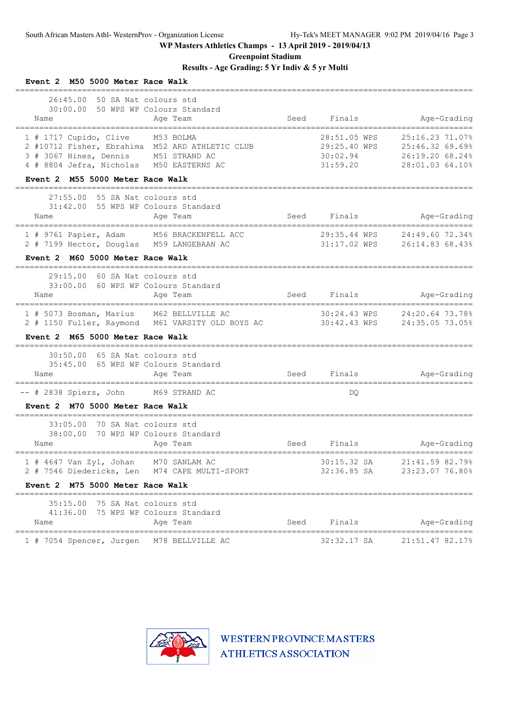**Greenpoint Stadium**

**Results - Age Grading: 5 Yr Indiv & 5 yr Multi**

| Event 2 M50 5000 Meter Race Walk                                                                                                                                         |      |                                                      |                                                                          |
|--------------------------------------------------------------------------------------------------------------------------------------------------------------------------|------|------------------------------------------------------|--------------------------------------------------------------------------|
| 26:45.00 50 SA Nat colours std<br>30:00.00 50 WPS WP Colours Standard<br>Age Team<br>Name                                                                                | Seed | Finals                                               | Age-Grading                                                              |
| 1 # 1717 Cupido, Clive M53 BOLMA<br>2 #10712 Fisher, Ebrahima M52 ARD ATHLETIC CLUB<br>3 # 3067 Hines, Dennis M51 STRAND AC<br>4 # 8804 Jefra, Nicholas M50 EASTERNS AC  |      | 28:51.05 WPS<br>29:25.40 WPS<br>30:02.94<br>31:59.20 | 25:16.23 71.07%<br>25:46.32 69.69%<br>26:19.20 68.24%<br>28:01.03 64.10% |
| Event 2 M55 5000 Meter Race Walk                                                                                                                                         |      |                                                      |                                                                          |
| 55 SA Nat colours std<br>27:55.00<br>31:42.00 55 WPS WP Colours Standard<br>Age Team<br>Name                                                                             | Seed | Finals                                               | Age-Grading                                                              |
| 1 # 9761 Papier, Adam M56 BRACKENFELL ACC<br>2 # 7199 Hector, Douglas M59 LANGEBAAN AC                                                                                   |      | 29:35.44 WPS                                         | 24:49.60 72.34%<br>31:17.02 WPS 26:14.83 68.43%                          |
| Event 2 M60 5000 Meter Race Walk                                                                                                                                         |      |                                                      |                                                                          |
| 60 SA Nat colours std<br>29:15.00<br>60 WPS WP Colours Standard<br>33:00.00<br>Age Team<br>Name<br>===================================<br>============================== |      | Seed Finals                                          | Age-Grading<br>========================                                  |
| 1 # 5073 Bosman, Marius M62 BELLVILLE AC<br>2 # 1150 Fuller, Raymond M61 VARSITY OLD BOYS AC                                                                             |      | 30:24.43 WPS                                         | 24:20.64 73.78%<br>30:42.43 WPS 24:35.05 73.05%                          |
| Event 2 M65 5000 Meter Race Walk                                                                                                                                         |      |                                                      |                                                                          |
| 30:50.00 65 SA Nat colours std<br>35:45.00 65 WPS WP Colours Standard<br>Name<br>Age Team                                                                                | Seed | Finals                                               | Age-Grading                                                              |
| -- # 2838 Spiers, John M69 STRAND AC                                                                                                                                     |      | DQ                                                   |                                                                          |
| Event 2 M70 5000 Meter Race Walk                                                                                                                                         |      |                                                      |                                                                          |
| 70 SA Nat colours std<br>33:05.00<br>70 WPS WP Colours Standard<br>38:00.00<br>Name<br>Age Team                                                                          | Seed | Finals                                               | Age-Grading                                                              |
| $1$ # 4647 Van Zyl, Johan<br>M70 SANLAM AC<br>2 # 7546 Diedericks, Len M74 CAPE MULTI-SPORT                                                                              |      | 30:15.32 SA<br>32:36.85 SA                           | 21:41.59 82.79%<br>23:23.07 76.80%                                       |
| Event 2 M75 5000 Meter Race Walk                                                                                                                                         |      |                                                      |                                                                          |
| 35:15.00 75 SA Nat colours std<br>41:36.00 75 WPS WP Colours Standard<br>Age Team<br>Name                                                                                | Seed | Finals                                               | Age-Grading                                                              |
| ---------------------------------<br>M78 BELLVILLE AC<br>1 # 7054 Spencer, Jurgen                                                                                        |      | 32:32.17 SA                                          | ======================<br>21:51.47 82.17%                                |

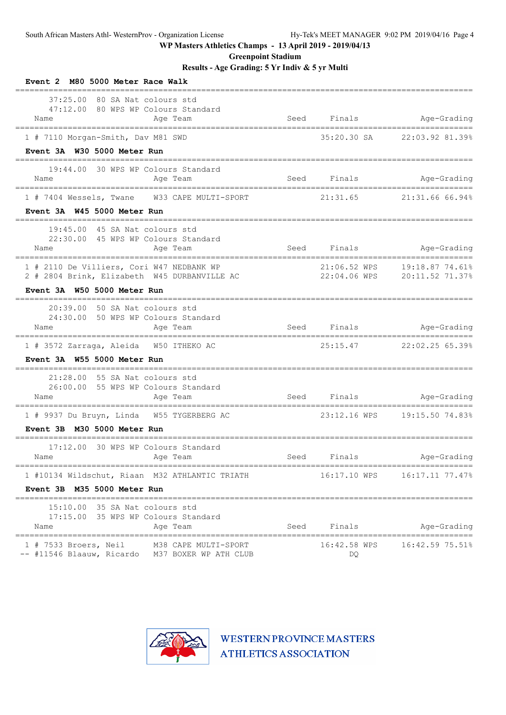**Greenpoint Stadium**

**Results - Age Grading: 5 Yr Indiv & 5 yr Multi**

| Event 2 M80 5000 Meter Race Walk                                                                                                        |                    |                      |                 |
|-----------------------------------------------------------------------------------------------------------------------------------------|--------------------|----------------------|-----------------|
| 37:25.00<br>80 SA Nat colours std<br>47:12.00 80 WPS WP Colours Standard<br>Age Team<br>Name                                            | Seed               | Finals               | Age-Grading     |
| 1 # 7110 Morgan-Smith, Dav M81 SWD                                                                                                      |                    | 35:20.30 SA          | 22:03.92 81.39% |
| Event 3A W30 5000 Meter Run                                                                                                             |                    |                      |                 |
| 19:44.00 30 WPS WP Colours Standard<br>Age Team<br>Name                                                                                 | Seed               | Finals               | Age-Grading     |
| 1 # 7404 Wessels, Twane W33 CAPE MULTI-SPORT                                                                                            |                    | 21:31.65             | 21:31.66 66.94% |
| Event 3A W45 5000 Meter Run                                                                                                             |                    |                      |                 |
| 19:45.00 45 SA Nat colours std<br>22:30.00 45 WPS WP Colours Standard<br>Age Team<br>Name                                               |                    | Seed Finals          | Age-Grading     |
| 1 # 2110 De Villiers, Cori W47 NEDBANK WP<br>2 # 2804 Brink, Elizabeth W45 DURBANVILLE AC                                               |                    | 21:06.52 WPS         | 19:18.87 74.61% |
| Event 3A W50 5000 Meter Run<br>======================================                                                                   |                    |                      |                 |
| 20:39.00 50 SA Nat colours std<br>24:30.00 50 WPS WP Colours Standard<br>Name<br>Age Team                                               |                    | Seed Finals          | Age-Grading     |
| 1 # 3572 Zarraga, Aleida W50 ITHEKO AC                                                                                                  | ================== | 25:15.47             | 22:02.25 65.39% |
| Event 3A W55 5000 Meter Run                                                                                                             |                    |                      |                 |
| 21:28.00 55 SA Nat colours std<br>26:00.00 55 WPS WP Colours Standard<br>Name<br>Age Team                                               |                    | Seed Finals and Seed | Age-Grading     |
| 1 # 9937 Du Bruyn, Linda W55 TYGERBERG AC                                                                                               |                    |                      |                 |
| Event 3B M30 5000 Meter Run                                                                                                             |                    |                      |                 |
| 17:12.00<br>30 WPS WP Colours Standard<br>Name<br>Age Team                                                                              | Seed               | Finals               | Age-Grading     |
| 1 #10134 Wildschut, Riaan M32 ATHLANTIC TRIATH                                                                                          |                    | 16:17.10 WPS         | 16:17.11 77.47% |
| Event 3B M35 5000 Meter Run                                                                                                             |                    |                      |                 |
| 15:10.00 35 SA Nat colours std<br>17:15.00 35 WPS WP Colours Standard<br>Age Team<br>Name                                               | Seed               | Finals               | Age-Grading     |
| =================================<br>$1$ # 7533 Broers, Neil<br>M38 CAPE MULTI-SPORT<br>-- #11546 Blaauw, Ricardo M37 BOXER WP ATH CLUB |                    | 16:42.58 WPS<br>DQ   | 16:42.59 75.51% |

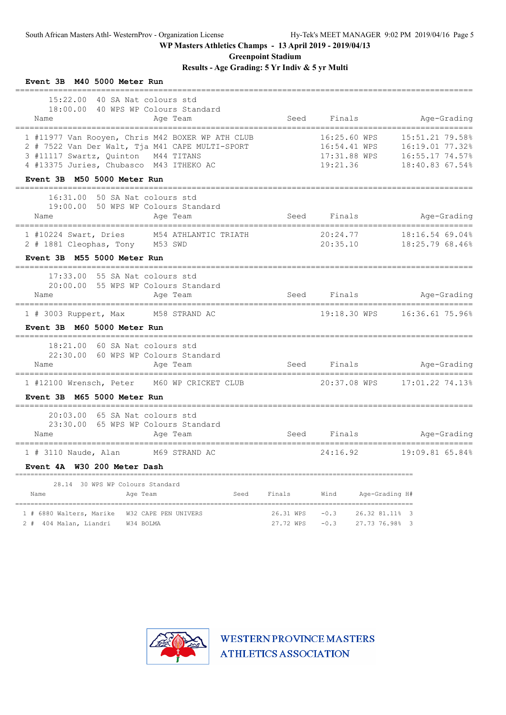**Greenpoint Stadium**

**Results - Age Grading: 5 Yr Indiv & 5 yr Multi**

| Event 3B M40 5000 Meter Run                             |                                                                                                                                                |      |                        |                    |                                              |                                                                          |
|---------------------------------------------------------|------------------------------------------------------------------------------------------------------------------------------------------------|------|------------------------|--------------------|----------------------------------------------|--------------------------------------------------------------------------|
| Name                                                    | 15:22.00 40 SA Nat colours std<br>18:00.00 40 WPS WP Colours Standard<br>Age Team                                                              |      | Seed                   | Finals             |                                              | Age-Grading                                                              |
| 3 #11117 Swartz, Quinton M44 TITANS                     | 1 #11977 Van Rooyen, Chris M42 BOXER WP ATH CLUB<br>2 # 7522 Van Der Walt, Tja M41 CAPE MULTI-SPORT<br>4 #13375 Juries, Chubasco M43 ITHEKO AC |      |                        | 19:21.36           | 16:25.60 WPS<br>16:54.41 WPS<br>17:31.88 WPS | 15:51.21 79.58%<br>16:19.01 77.32%<br>16:55.17 74.57%<br>18:40.83 67.54% |
| Event 3B M50 5000 Meter Run                             |                                                                                                                                                |      |                        |                    |                                              |                                                                          |
| Name                                                    | 16:31.00 50 SA Nat colours std<br>19:00.00 50 WPS WP Colours Standard<br>Age Team                                                              |      |                        | Seed Finals        |                                              | Age-Grading                                                              |
| 2 # 1881 Cleophas, Tony M53 SWD                         | 1 #10224 Swart, Dries M54 ATHLANTIC TRIATH                                                                                                     |      |                        | 20:24.77           |                                              | 18:16.54 69.04%                                                          |
| Event 3B M55 5000 Meter Run                             |                                                                                                                                                |      |                        |                    |                                              |                                                                          |
| Name                                                    | $17:33.00$ 55 SA Nat colours std<br>20:00.00 55 WPS WP Colours Standard<br>Age Team                                                            |      |                        |                    |                                              | Seed Finals Age-Grading                                                  |
|                                                         | 1 # 3003 Ruppert, Max M58 STRAND AC                                                                                                            |      |                        |                    |                                              |                                                                          |
| Event 3B M60 5000 Meter Run                             |                                                                                                                                                |      |                        |                    |                                              |                                                                          |
| Name                                                    | 18:21.00 60 SA Nat colours std<br>22:30.00 60 WPS WP Colours Standard<br>Age Team                                                              |      | Seed                   |                    | Finals                                       | Age-Grading                                                              |
|                                                         | 1 #12100 Wrensch, Peter M60 WP CRICKET CLUB                                                                                                    |      |                        |                    |                                              |                                                                          |
| Event 3B M65 5000 Meter Run                             | -----------------------------------                                                                                                            |      |                        |                    |                                              |                                                                          |
| Name                                                    | 20:03.00 65 SA Nat colours std<br>23:30.00 65 WPS WP Colours Standard<br>Age Team                                                              |      | Seed                   | Finals             |                                              | Age-Grading                                                              |
|                                                         | ================<br>1 # 3110 Naude, Alan M69 STRAND AC                                                                                         |      |                        | ======<br>24:16.92 | =====                                        | ;===============<br>19:09.81 65.84%                                      |
| Event 4A W30 200 Meter Dash                             |                                                                                                                                                |      |                        |                    |                                              |                                                                          |
| 28.14 30 WPS WP Colours Standard<br>Name                | Age Team                                                                                                                                       | Seed | Finals                 | Wind               | Age-Grading H#                               |                                                                          |
| 1 # 6880 Walters, Marike<br>404 Malan, Liandri<br>$2 +$ | W32 CAPE PEN UNIVERS<br>W34 BOLMA                                                                                                              |      | 26.31 WPS<br>27.72 WPS | $-0.3$<br>$-0.3$   | 26.32 81.11% 3<br>27.73 76.98% 3             |                                                                          |

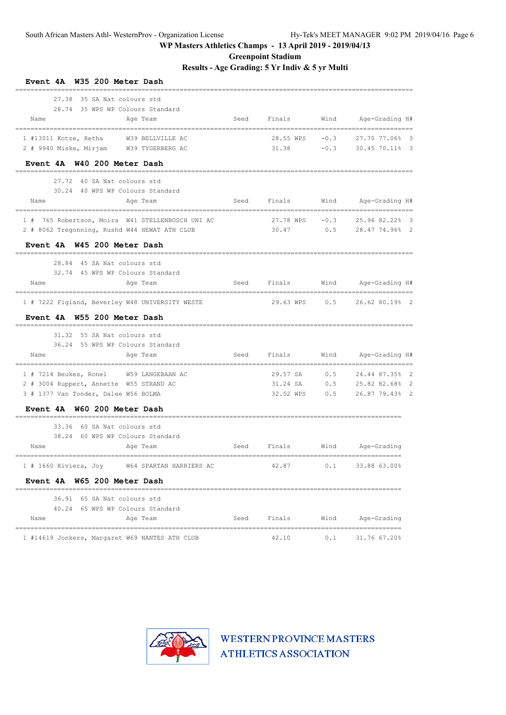**Greenpoint Stadium**

**Results - Age Grading: 5 Yr Indiv & 5 yr Multi**

| W35 200 Meter Dash<br><b>Event 4A</b>            |      |                                    |        |                              |    |
|--------------------------------------------------|------|------------------------------------|--------|------------------------------|----|
| 35 SA Nat colours std<br>27.38                   |      |                                    |        |                              |    |
| 28.74 35 WPS WP Colours Standard                 |      |                                    |        |                              |    |
| Name<br>Age Team                                 | Seed | Finals                             | Wind   | Age-Grading H#               |    |
| 1 #13011 Kotze, Retha<br>W39 BELLVILLE AC        |      | 28.55 WPS                          | $-0.3$ | 27.70 77.06%                 | 3  |
| 2 # 9940 Miske, Mirjam W39 TYGERBERG AC          |      | 31.38                              | $-0.3$ | 30.45 70.11% 3               |    |
| Event 4A W40 200 Meter Dash                      |      |                                    |        |                              |    |
| 27.72<br>40 SA Nat colours std                   |      |                                    |        |                              |    |
| 30.24 40 WPS WP Colours Standard                 |      |                                    |        |                              |    |
| Name<br>Age Team                                 | Seed | Finals                             | Wind   | Age-Grading H#               |    |
| 1 # 765 Robertson, Moira W41 STELLENBOSCH UNI AC |      | 27.78 WPS                          | $-0.3$ | 25.96 82.22% 3               |    |
| 2 # 8062 Tregonning, Rushd W44 HEWAT ATH CLUB    |      | 30.47                              | 0.5    | 28.47 74.96% 2               |    |
| Event 4A W45 200 Meter Dash                      |      |                                    |        |                              |    |
| 28.84 45 SA Nat colours std                      |      |                                    |        |                              |    |
| 32.74 45 WPS WP Colours Standard                 |      |                                    |        |                              |    |
| Name<br>Age Team                                 | Seed | Finals<br>======================== | Wind   | Age-Grading H#               |    |
| 1 # 7222 Figland, Beverley W48 UNIVERSITY WESTE  |      | 29.63 WPS                          | 0.5    | 26.62 80.19% 2               |    |
| Event 4A W55 200 Meter Dash                      |      |                                    |        |                              |    |
| 31.32 55 SA Nat colours std                      |      |                                    |        |                              |    |
| 36.24 55 WPS WP Colours Standard                 |      |                                    |        |                              |    |
| Name<br>Age Team<br>----------------             | Seed | Finals                             | Wind   | Age-Grading H#               |    |
| 1 # 7214 Beukes, Ronel W59 LANGEBAAN AC          |      | 29.57 SA                           | 0.5    | 24.44 87.35% 2               |    |
| 2 # 3004 Ruppert, Annette W55 STRAND AC          |      | 31.24 SA                           | 0.5    | 25.82 82.68%                 | 2  |
| 3 # 1377 Van Tonder, Dalee W56 BOLMA             |      | 32.52 WPS                          | 0.5    | 26.87 79.43%                 | -2 |
| Event 4A W60 200 Meter Dash                      |      |                                    |        |                              |    |
| 33.36<br>60 SA Nat colours std                   |      |                                    |        |                              |    |
| 38.24 60 WPS WP Colours Standard                 |      |                                    |        |                              |    |
| Age Team<br>Name                                 | Seed | Finals                             | Wind   | Age-Grading                  |    |
| 1 # 1660 Riviera, Joy W64 SPARTAN HARRIERS AC    |      | 42.87                              |        | $0.1$ 33.88 63.00%           |    |
| Event 4A W65 200 Meter Dash                      |      |                                    |        |                              |    |
| 36.91 65 SA Nat colours std                      |      |                                    |        |                              |    |
| 40.24 65 WPS WP Colours Standard                 |      |                                    |        |                              |    |
| Name<br>Age Team                                 |      |                                    |        | Seed Finals Wind Age-Grading |    |
| 1 #14619 Jonkers, Margaret W69 NANTES ATH CLUB   |      | 42.10                              |        | $0.1$ 31.76 67.20%           |    |

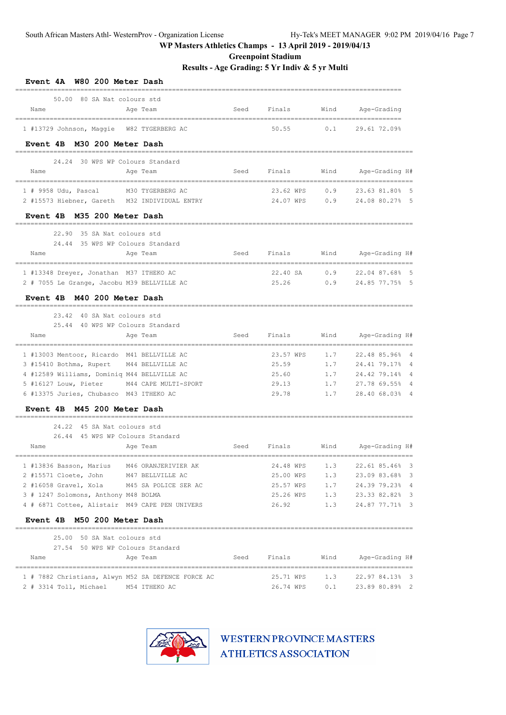**Greenpoint Stadium**

**Results - Age Grading: 5 Yr Indiv & 5 yr Multi**

| W80 200 Meter Dash<br><b>Event 4A</b>                              |      |               |      |                                        |
|--------------------------------------------------------------------|------|---------------|------|----------------------------------------|
| 50.00 80 SA Nat colours std                                        |      |               |      |                                        |
| Name<br>Age Team                                                   | Seed | Finals        | Wind | Age-Grading<br>--------------          |
| 1 #13729 Johnson, Maggie W82 TYGERBERG AC                          |      | 50.55         | 0.1  | 29.61 72.09%                           |
| Event 4B M30 200 Meter Dash                                        |      |               |      |                                        |
| 24.24 30 WPS WP Colours Standard                                   |      |               |      |                                        |
| Name<br>Age Team                                                   | Seed | Finals        | Wind | Age-Grading H#                         |
| --------------------<br>$1$ # 9958 Udu, Pascal<br>M30 TYGERBERG AC |      | 23.62 WPS     | 0.9  | --------------------<br>23.63 81.80% 5 |
| 2 #15573 Hiebner, Gareth M32 INDIVIDUAL ENTRY                      |      | 24.07 WPS     | 0.9  | 24.08 80.27% 5                         |
| Event 4B M35 200 Meter Dash                                        |      |               |      |                                        |
| 35 SA Nat colours std<br>22.90                                     |      |               |      |                                        |
| 24.44 35 WPS WP Colours Standard                                   |      |               |      |                                        |
| Name<br>Age Team                                                   | Seed | Finals        | Wind | Age-Grading H#                         |
| 1 #13348 Dreyer, Jonathan M37 ITHEKO AC                            |      | 22.40 SA      | 0.9  | 22.04 87.68% 5                         |
| 2 # 7055 Le Grange, Jacobu M39 BELLVILLE AC                        |      | 25.26         | 0.9  | 24.85 77.75% 5                         |
| Event 4B M40 200 Meter Dash                                        |      |               |      |                                        |
| 23.42<br>40 SA Nat colours std                                     |      |               |      | ========================               |
| 25.44 40 WPS WP Colours Standard                                   |      |               |      |                                        |
| Name<br>Age Team                                                   | Seed | Finals        | Wind | Age-Grading H#                         |
| 1 #13003 Mentoor, Ricardo M41 BELLVILLE AC                         |      | 23.57 WPS     | 1.7  | 22.48 85.96%<br>$\overline{4}$         |
| 3 #15410 Bothma, Rupert M44 BELLVILLE AC                           |      | 25.59         | 1.7  | 24.41 79.17%<br>$\overline{4}$         |
| 4 #12589 Williams, Dominiq M44 BELLVILLE AC                        |      | 25.60         | 1.7  | 24.42 79.14%<br>$\overline{4}$         |
| 5 #16127 Louw, Pieter M44 CAPE MULTI-SPORT                         |      | 29.13         | 1.7  | 27.78 69.55%                           |
| 6 #13375 Juries, Chubasco M43 ITHEKO AC                            |      | 29.78         | 1.7  | 28.40 68.03% 4                         |
| Event 4B M45 200 Meter Dash                                        |      |               |      |                                        |
| 45 SA Nat colours std<br>24.22                                     |      |               |      |                                        |
| 26.44 45 WPS WP Colours Standard                                   |      |               |      |                                        |
| Name<br>Age Team                                                   | Seed | Finals        | Wind | Age-Grading H#                         |
| 1 #13836 Basson, Marius M46 ORANJERIVIER AK                        |      | 24.48 WPS     | 1.3  | 22.61 85.46% 3                         |
| 2 #15571 Cloete, John M47 BELLVILLE AC                             |      | 25.00 WPS     | 1.3  | 23.09 83.68% 3                         |
| 2 #16058 Gravel, Xola M45 SA POLICE SER AC                         |      | 25.57 WPS 1.7 |      | 24.39 79.23% 4                         |
| 3 # 1247 Solomons, Anthony M48 BOLMA                               |      |               |      | 25.26 WPS 1.3 23.33 82.82% 3           |
| 4 # 6871 Cottee, Alistair M49 CAPE PEN UNIVERS                     |      | 26.92 1.3     |      | 24.87 77.71% 3                         |
| Event 4B M50 200 Meter Dash                                        |      |               |      |                                        |
| 25.00 50 SA Nat colours std                                        |      |               |      |                                        |
| 27.54 50 WPS WP Colours Standard                                   |      |               |      |                                        |
| Name<br>Age Team                                                   |      |               |      | Seed Finals Wind Age-Grading H#        |
| 1 # 7882 Christians, Alwyn M52 SA DEFENCE FORCE AC                 |      |               |      | 25.71 WPS 1.3 22.97 84.13% 3           |
| 2 # 3314 Toll, Michael M54 ITHEKO AC                               |      | 26.74 WPS 0.1 |      | 23.89 80.89% 2                         |
|                                                                    |      |               |      |                                        |

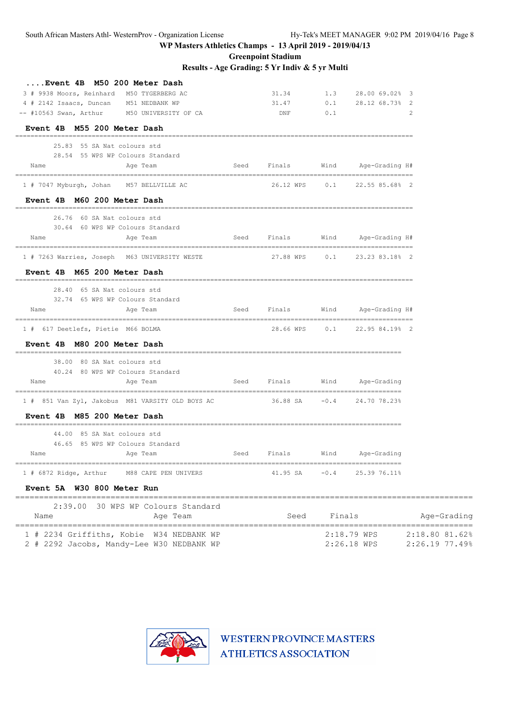**Greenpoint Stadium**

**Results - Age Grading: 5 Yr Indiv & 5 yr Multi**

| Event 4B M50 200 Meter Dash                                                 |                |             |        |                                                              |                            |
|-----------------------------------------------------------------------------|----------------|-------------|--------|--------------------------------------------------------------|----------------------------|
| 3 # 9938 Moors, Reinhard M50 TYGERBERG AC                                   |                | 31.34       |        | 1.3 28.00 69.02% 3                                           |                            |
| 4 # 2142 Isaacs, Duncan                                                     | M51 NEDBANK WP | 31.47       |        | $0.1$ 28.12 68.73% 2                                         |                            |
| -- #10563 Swan, Arthur M50 UNIVERSITY OF CA                                 |                | DNF         | 0.1    |                                                              | 2                          |
| Event 4B M55 200 Meter Dash                                                 |                |             |        |                                                              |                            |
| 25.83 55 SA Nat colours std                                                 |                |             |        |                                                              |                            |
| 28.54 55 WPS WP Colours Standard                                            |                |             |        |                                                              |                            |
| Name<br>Age Team                                                            |                | Seed Finals |        | Wind Age-Grading H#                                          |                            |
| 1 # 7047 Myburgh, Johan M57 BELLVILLE AC                                    |                |             |        | 26.12 WPS 0.1 22.55 85.68% 2                                 |                            |
| Event 4B M60 200 Meter Dash                                                 |                |             |        |                                                              |                            |
| 26.76 60 SA Nat colours std                                                 |                |             |        |                                                              |                            |
| 30.64 60 WPS WP Colours Standard                                            |                |             |        |                                                              |                            |
| Name<br>Age Team                                                            |                |             |        | Seed Finals – Wind Age-Grading H#                            |                            |
| 1 # 7263 Warries, Joseph M63 UNIVERSITY WESTE                               |                |             |        | 27.88 WPS         0.1         23.23         83.18%         2 |                            |
| Event 4B M65 200 Meter Dash                                                 |                |             |        |                                                              |                            |
| 28.40 65 SA Nat colours std                                                 |                |             |        |                                                              |                            |
| 32.74 65 WPS WP Colours Standard<br>Name<br>Age Team                        |                |             |        | Seed Finals Wind Age-Grading H#                              |                            |
|                                                                             |                |             |        |                                                              |                            |
| 1 # 617 Deetlefs, Pietie M66 BOLMA                                          |                |             |        | 28.66 WPS   0.1   22.95 84.19%   2                           |                            |
| Event 4B M80 200 Meter Dash                                                 |                |             |        |                                                              |                            |
| 38.00 80 SA Nat colours std                                                 |                |             |        |                                                              |                            |
| 40.24 80 WPS WP Colours Standard                                            |                |             |        |                                                              |                            |
| Name<br>Age Team                                                            |                |             |        | Seed Finals Wind Age-Grading                                 |                            |
| 1 # 851 Van Zyl, Jakobus M81 VARSITY OLD BOYS AC 36.88 SA -0.4 24.70 78.23% |                |             |        |                                                              |                            |
| Event 4B M85 200 Meter Dash                                                 |                |             |        |                                                              |                            |
| 44.00 85 SA Nat colours std                                                 |                |             |        |                                                              |                            |
| 46.65 85 WPS WP Colours Standard                                            |                |             |        |                                                              |                            |
| Name<br>Age Team                                                            |                | Seed Finals |        | Wind Age-Grading                                             |                            |
| 1 # 6872 Ridge, Arthur M88 CAPE PEN UNIVERS                                 |                |             |        | 41.95 SA    -0.4    25.39 76.11%                             |                            |
| Event 5A W30 800 Meter Run                                                  |                |             |        |                                                              |                            |
| 2:39.00 30 WPS WP Colours Standard                                          |                |             |        |                                                              |                            |
| Name                                                                        | Age Team       | Seed        | Finals |                                                              | Age-Grading                |
| 1 # 2234 Griffiths, Kobie W34 NEDBANK WP                                    |                |             |        | 2:18.79 WPS                                                  | 2:18.80 81.62%             |
| 2 # 2292 Jacobs, Mandy-Lee W30 NEDBANK WP                                   |                |             |        |                                                              | 2:26.18 WPS 2:26.19 77.49% |

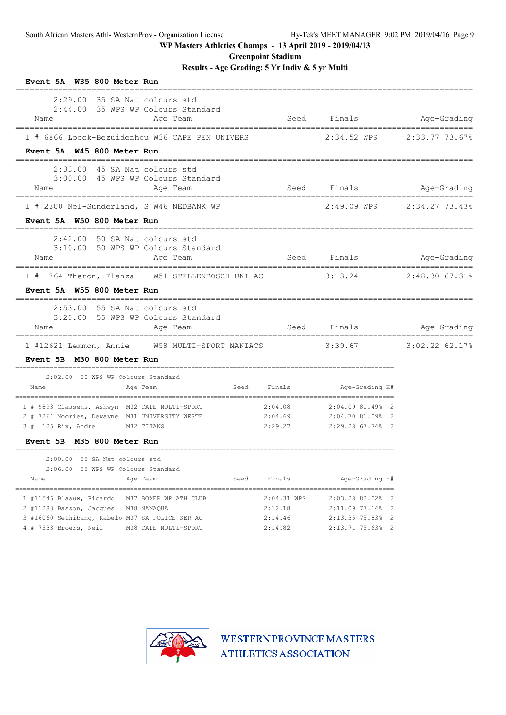**Greenpoint Stadium**

**Results - Age Grading: 5 Yr Indiv & 5 yr Multi**

|                                                                                         | Event 5A W35 800 Meter Run                     |             |                    |                                      |                  |
|-----------------------------------------------------------------------------------------|------------------------------------------------|-------------|--------------------|--------------------------------------|------------------|
| $2:29.00$ 35 SA Nat colours std<br>Name                                                 | 2:44.00 35 WPS WP Colours Standard<br>Age Team |             |                    | Seed Finals Mge-Grading              |                  |
| 1 # 6866 Loock-Bezuidenhou W36 CAPE PEN UNIVERS                                         |                                                |             |                    | 2:34.52 WPS 2:33.77 73.67%           |                  |
| Event 5A W45 800 Meter Run                                                              |                                                |             |                    |                                      |                  |
| 2:33.00 45 SA Nat colours std<br>Name                                                   | 3:00.00 45 WPS WP Colours Standard<br>Age Team |             |                    | Seed Finals                          | Age-Grading      |
| 1 # 2300 Nel-Sunderland, S W46 NEDBANK WP                                               |                                                |             |                    |                                      |                  |
| Event 5A W50 800 Meter Run                                                              |                                                |             |                    |                                      |                  |
| $2:42.00$ 50 SA Nat colours std<br>Name                                                 | 3:10.00 50 WPS WP Colours Standard<br>Age Team |             | Seed Finals        |                                      | Age-Grading      |
| 1 # 764 Theron, Elanza W51 STELLENBOSCH UNI AC                                          |                                                |             |                    | 3:13.24                              | 2:48.30 67.31%   |
| Event 5A W55 800 Meter Run                                                              |                                                |             |                    |                                      |                  |
| $2:53.00$ 55 SA Nat colours std<br>Name                                                 | 3:20.00 55 WPS WP Colours Standard<br>Age Team |             | Seed Finals        |                                      | Age-Grading      |
| 1 #12621 Lemmon, Annie 1958 MULTI-SPORT MANIACS                                         |                                                |             |                    |                                      |                  |
|                                                                                         |                                                |             |                    | 3:39.67                              | $3:02.22$ 62.17% |
| Event 5B M30 800 Meter Run                                                              |                                                |             |                    |                                      |                  |
| 2:02.00 30 WPS WP Colours Standard                                                      |                                                |             |                    |                                      |                  |
| Name                                                                                    | Age Team                                       | Seed Finals |                    | Age-Grading H#                       |                  |
| 1 # 9893 Classens, Ashwyn M32 CAPE MULTI-SPORT                                          |                                                |             | 2:04.08            | 2:04.09 81.49% 2                     |                  |
| 2 # 7264 Moories, Dewayne M31 UNIVERSITY WESTE                                          |                                                |             | 2:04.69            | 2:04.70 81.09% 2                     |                  |
| $3$ # 126 Rix, Andre                                                                    | M32 TITANS                                     |             | 2:29.27            | 2:29.28 67.74% 2                     |                  |
| Event 5B M35 800 Meter Run                                                              |                                                |             |                    |                                      |                  |
| 2:00.00 35 SA Nat colours std                                                           |                                                |             |                    |                                      |                  |
| 2:06.00 35 WPS WP Colours Standard<br>Name                                              | Age Team                                       | Seed        | Finals             | Age-Grading H#                       |                  |
| 1 #11546 Blaauw, Ricardo M37 BOXER WP ATH CLUB                                          |                                                |             | 2:04.31 WPS        | 2:03.28 82.02% 2                     |                  |
| 2 #11283 Basson, Jacques M38 NAMAQUA<br>3 #16060 Sethibang, Kabelo M37 SA POLICE SER AC |                                                |             | 2:12.18<br>2:14.46 | 2:11.09 77.14% 2<br>2:13.35 75.83% 2 |                  |

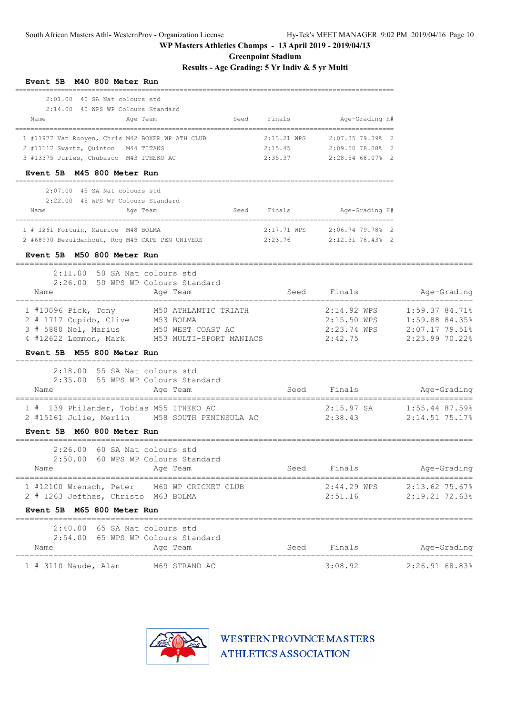**Greenpoint Stadium**

**Results - Age Grading: 5 Yr Indiv & 5 yr Multi**

| Event 5B M40 800 Meter Run                                                                                                                                                 |                                       |                                   |                                                          |                                                                      |
|----------------------------------------------------------------------------------------------------------------------------------------------------------------------------|---------------------------------------|-----------------------------------|----------------------------------------------------------|----------------------------------------------------------------------|
| $2:01.00$ 40 SA Nat colours std<br>2:14.00 40 WPS WP Colours Standard<br>Name<br>Age Team                                                                                  | Seed                                  | Finals                            | Age-Grading H#                                           |                                                                      |
| 1 #11977 Van Rooyen, Chris M42 BOXER WP ATH CLUB<br>2 #11117 Swartz, Quinton M44 TITANS<br>3 #13375 Juries, Chubasco M43 ITHEKO AC                                         |                                       | 2:13.21 WPS<br>2:15.45<br>2:35.37 | 2:07.35 79.39% 2<br>2:09.50 78.08% 2<br>2:28.54 68.07% 2 |                                                                      |
| Event 5B M45 800 Meter Run                                                                                                                                                 |                                       |                                   |                                                          |                                                                      |
| 2:07.00 45 SA Nat colours std<br>2:22.00 45 WPS WP Colours Standard<br>Name<br>Age Team                                                                                    | Seed                                  | Finals                            | Age-Grading H#                                           |                                                                      |
| 1 # 1261 Fortuin, Maurice M48 BOLMA<br>2 #68990 Bezuidenhout, Rog M45 CAPE PEN UNIVERS 2:23.76                                                                             |                                       | 2:17.71 WPS                       | $2:06.74$ 79.78% 2<br>2:12.31 76.43% 2                   |                                                                      |
| Event 5B M50 800 Meter Run<br>2:11.00 50 SA Nat colours std<br>2:26.00 50 WPS WP Colours Standard                                                                          |                                       |                                   |                                                          |                                                                      |
| Name<br>Age Team                                                                                                                                                           |                                       | Seed                              | Finals                                                   | Age-Grading                                                          |
| 1 #10096 Pick, Tony<br>M50 ATHLANTIC TRIATH<br>2 # 1717 Cupido, Clive M53 BOLMA<br>3 # 5880 Nel, Marius M50 WEST COAST AC<br>4 #12622 Lemmon, Mark M53 MULTI-SPORT MANIACS |                                       |                                   | 2:14.92 WPS<br>2:15.50 WPS<br>2:23.74 WPS<br>2:42.75     | 1:59.37 84.71%<br>1:59.88 84.35%<br>2:07.17 79.51%<br>2:23.99 70.22% |
| Event 5B M55 800 Meter Run                                                                                                                                                 |                                       |                                   |                                                          |                                                                      |
| 2:18.00 55 SA Nat colours std<br>2:35.00 55 WPS WP Colours Standard<br>Name<br>Age Team                                                                                    |                                       | Seed                              | Finals                                                   | Age-Grading                                                          |
| 139 Philander, Tobias M55 ITHEKO AC<br>1#<br>2 #15161 Julie, Merlin M58 SOUTH PENINSULA AC                                                                                 |                                       |                                   | 2:15.97 SA<br>2:38.43                                    | 1:55.44 87.59%<br>2:14.51 75.17%                                     |
| Event 5B M60 800 Meter Run<br>_________________                                                                                                                            |                                       |                                   |                                                          |                                                                      |
| 2:26.00<br>60 SA Nat colours std<br>2:50.00<br>60 WPS WP Colours Standard<br>Name<br>Age Team                                                                              |                                       | Seed                              | Finals                                                   | Age-Grading                                                          |
| 1 #12100 Wrensch, Peter<br>M60 WP CRICKET CLUB<br>2 # 1263 Jefthas, Christo M63 BOLMA                                                                                      |                                       |                                   | 2:44.29 WPS<br>2:51.16                                   | $2:13.62$ 75.67%<br>2:19.21 72.63%                                   |
| Event 5B M65 800 Meter Run                                                                                                                                                 |                                       |                                   |                                                          |                                                                      |
| 2:40.00 65 SA Nat colours std<br>2:54.00 65 WPS WP Colours Standard<br>Age Team<br>Name                                                                                    |                                       | Seed                              | Finals                                                   | Age-Grading                                                          |
| $1$ # 3110 Naude, Alan<br>M69 STRAND AC                                                                                                                                    | ------------------------------------- |                                   | 3:08.92                                                  | 2:26.91 68.83%                                                       |

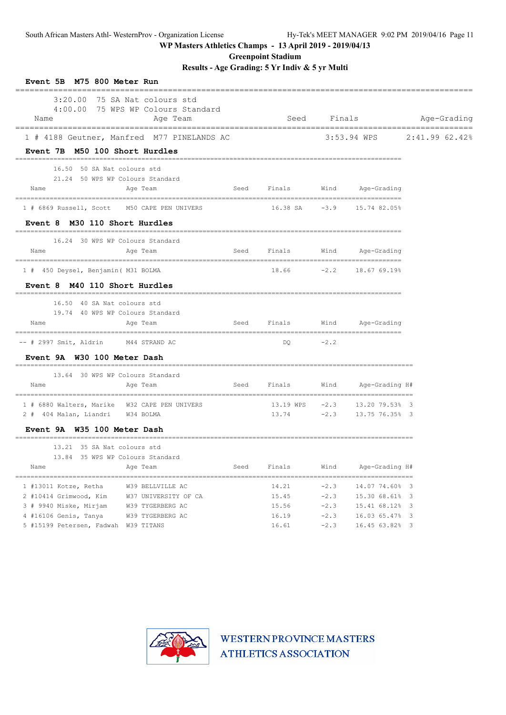**Greenpoint Stadium**

**Results - Age Grading: 5 Yr Indiv & 5 yr Multi**

| Event 5B M75 800 Meter Run<br>---------------- | -----------------------------                                                      |      |             |             |                                     |                            |
|------------------------------------------------|------------------------------------------------------------------------------------|------|-------------|-------------|-------------------------------------|----------------------------|
| Name                                           | $3:20.00$ 75 SA Nat. colours std<br>4:00.00 75 WPS WP Colours Standard<br>Age Team |      |             | Seed Finals |                                     | Age-Grading                |
|                                                | 1 # 4188 Geutner, Manfred M77 PINELANDS AC                                         |      |             |             |                                     | 3:53.94 WPS 2:41.99 62.42% |
| Event 7B M50 100 Short Hurdles                 |                                                                                    |      |             |             |                                     |                            |
| 16.50 50 SA Nat colours std                    |                                                                                    |      |             |             |                                     |                            |
| 21.24 50 WPS WP Colours Standard               |                                                                                    |      |             |             |                                     |                            |
| Name                                           | Age Team                                                                           |      | Seed Finals |             | Wind Age-Grading                    |                            |
| 1 # 6869 Russell, Scott M50 CAPE PEN UNIVERS   |                                                                                    |      |             |             |                                     |                            |
| Event 8 M30 110 Short Hurdles                  |                                                                                    |      |             |             |                                     |                            |
| 16.24 30 WPS WP Colours Standard               |                                                                                    |      |             |             |                                     |                            |
| Name                                           | Age Team                                                                           |      | Seed Finals |             | Wind Age-Grading                    |                            |
| 1 # 450 Deysel, Benjamin ( M31 BOLMA           |                                                                                    |      |             |             | 18.66 -2.2 18.67 69.19%             |                            |
| Event 8 M40 110 Short Hurdles                  |                                                                                    |      |             |             |                                     |                            |
| 16.50 40 SA Nat colours std                    |                                                                                    |      |             |             |                                     |                            |
| 19.74 40 WPS WP Colours Standard               |                                                                                    |      |             |             |                                     |                            |
| Name                                           | Age Team                                                                           |      |             |             | Seed Finals Wind Age-Grading        |                            |
| -- # 2997 Smit, Aldrin M44 STRAND AC           |                                                                                    |      | DO          | $-2.2$      |                                     |                            |
| Event 9A W30 100 Meter Dash                    |                                                                                    |      |             |             |                                     |                            |
| 13.64 30 WPS WP Colours Standard               |                                                                                    |      |             |             |                                     |                            |
| Name                                           | Age Team                                                                           |      | Seed Finals |             | Wind Age-Grading H#                 |                            |
| 1 # 6880 Walters, Marike W32 CAPE PEN UNIVERS  |                                                                                    |      |             |             | $13.19$ WPS $-2.3$ $13.20$ 79.53% 3 |                            |
| 2 # 404 Malan, Liandri W34 BOLMA               |                                                                                    |      |             |             | 13.74 -2.3 13.75 76.35% 3           |                            |
| Event 9A W35 100 Meter Dash                    |                                                                                    |      |             |             |                                     |                            |
| 13.21 35 SA Nat colours std                    |                                                                                    |      |             |             |                                     |                            |
| 13.84 35 WPS WP Colours Standard               |                                                                                    |      |             |             |                                     |                            |
| Name                                           | Age Team                                                                           | Seed | Finals      | Wind        | Age-Grading H#                      |                            |
| 1 #13011 Kotze, Retha                          | W39 BELLVILLE AC                                                                   |      | 14.21       | $-2.3$      | 14.07 74.60% 3                      |                            |
| 2 #10414 Grimwood, Kim W37 UNIVERSITY OF CA    |                                                                                    |      | 15.45       | $-2.3$      | 15.30 68.61% 3                      |                            |
| 3 # 9940 Miske, Mirjam                         | W39 TYGERBERG AC                                                                   |      | 15.56       | $-2.3$      | 15.41 68.12% 3                      |                            |
| 4 #16106 Genis, Tanya                          | W39 TYGERBERG AC                                                                   |      | 16.19       | $-2.3$      | 16.03 65.47% 3                      |                            |
| 5 #15199 Petersen, Fadwah W39 TITANS           |                                                                                    |      | 16.61       | $-2.3$      | 16.45 63.82% 3                      |                            |

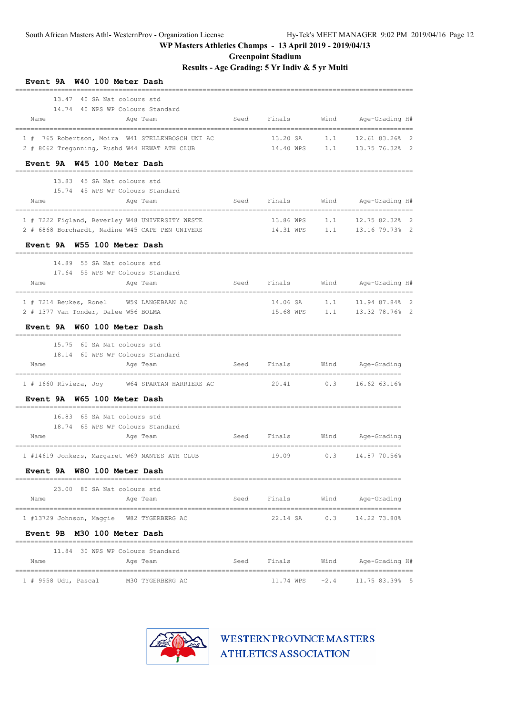**Greenpoint Stadium**

**Results - Age Grading: 5 Yr Indiv & 5 yr Multi**

| W40 100 Meter Dash<br><b>Event 9A</b>            |      |             |        |                                        |
|--------------------------------------------------|------|-------------|--------|----------------------------------------|
| 40 SA Nat colours std<br>13.47                   |      |             |        |                                        |
| 14.74 40 WPS WP Colours Standard                 |      |             |        |                                        |
| Name<br>Age Team                                 | Seed | Finals      | Wind   | Age-Grading H#                         |
| 1 # 765 Robertson, Moira W41 STELLENBOSCH UNI AC |      | 13.20 SA    | 1.1    | 12.61 83.26% 2                         |
| 2 # 8062 Tregonning, Rushd W44 HEWAT ATH CLUB    |      | 14.40 WPS   | 1.1    | 13.75 76.32% 2                         |
| Event 9A W45 100 Meter Dash                      |      |             |        |                                        |
| 13.83 45 SA Nat colours std                      |      |             |        |                                        |
| 15.74 45 WPS WP Colours Standard                 |      |             |        |                                        |
| Name<br>Age Team                                 | Seed | Finals      | Wind   | Age-Grading H#                         |
| 1 # 7222 Figland, Beverley W48 UNIVERSITY WESTE  |      | 13.86 WPS   | 1.1    | 12.75 82.32% 2                         |
| 2 # 6868 Borchardt, Nadine W45 CAPE PEN UNIVERS  |      | 14.31 WPS   | 1.1    | 13.16 79.73% 2                         |
| Event 9A W55 100 Meter Dash                      |      |             |        |                                        |
| 14.89<br>55 SA Nat colours std                   |      |             |        |                                        |
| 17.64 55 WPS WP Colours Standard                 |      |             |        |                                        |
| Name<br>Age Team<br>________                     | Seed | Finals      | Wind   | Age-Grading H#<br>===================  |
| 1 # 7214 Beukes, Ronel W59 LANGEBAAN AC          |      | 14.06 SA    | 1.1    | 11.94 87.84% 2                         |
| 2 # 1377 Van Tonder, Dalee W56 BOLMA             |      | 15.68 WPS   | 1.1    | 13.32 78.76% 2                         |
| Event 9A W60 100 Meter Dash                      |      |             |        |                                        |
| 15.75<br>60 SA Nat colours std                   |      |             |        | ==========================             |
| 18.14 60 WPS WP Colours Standard                 |      |             |        |                                        |
| Name<br>Age Team                                 | Seed | Finals      | Wind   | Age-Grading                            |
| 1 # 1660 Riviera, Joy W64 SPARTAN HARRIERS AC    |      | 20.41 0.3   |        | 16.62 63.16%                           |
| Event 9A W65 100 Meter Dash                      |      |             |        |                                        |
| 16.83<br>65 SA Nat colours std                   |      |             |        |                                        |
| 18.74 65 WPS WP Colours Standard                 |      |             |        |                                        |
| Name<br>Age Team                                 | Seed | Finals      | Wind   | Age-Grading                            |
| 1 #14619 Jonkers, Margaret W69 NANTES ATH CLUB   |      | 19.09       | 0.3    | 14.87 70.56%                           |
| Event 9A W80 100 Meter Dash                      |      |             |        |                                        |
| 23.00 80 SA Nat colours std                      |      |             |        |                                        |
| Name<br>Age Team                                 |      | Seed Finals | Wind   | Age-Grading                            |
| 1 #13729 Johnson, Maggie W82 TYGERBERG AC        |      | 22.14 SA    | 0.3    | 14.22 73.80%                           |
| Event 9B M30 100 Meter Dash                      |      |             |        |                                        |
| 11.84 30 WPS WP Colours Standard                 |      |             |        |                                        |
| Age Team<br>Name                                 | Seed | Finals      | Wind   | Age-Grading H#                         |
| 1 # 9958 Udu, Pascal<br>M30 TYGERBERG AC         |      | 11.74 WPS   | $-2.4$ | ====================<br>11.75 83.39% 5 |

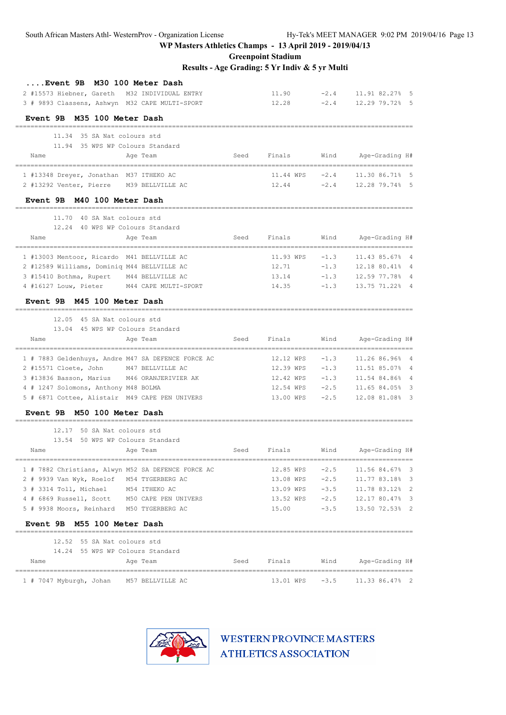**Greenpoint Stadium**

**Results - Age Grading: 5 Yr Indiv & 5 yr Multi**

| M30 100 Meter Dash<br><b>Event 9B</b><br>2 #15573 Hiebner, Gareth M32 INDIVIDUAL ENTRY<br>3 # 9893 Classens, Ashwyn M32 CAPE MULTI-SPORT |      | 11.90<br>12.28             | $-2.4$<br>$-2.4$ | 11.91 82.27% 5<br>12.29 79.72% 5      |
|------------------------------------------------------------------------------------------------------------------------------------------|------|----------------------------|------------------|---------------------------------------|
| Event 9B M35 100 Meter Dash<br>___________________________                                                                               |      |                            |                  |                                       |
| 11.34 35 SA Nat colours std                                                                                                              |      |                            |                  |                                       |
| 11.94 35 WPS WP Colours Standard                                                                                                         |      |                            |                  |                                       |
| Name<br>Age Team                                                                                                                         | Seed | Finals                     | Wind             | Age-Grading H#                        |
| 1 #13348 Dreyer, Jonathan M37 ITHEKO AC                                                                                                  |      | $11.44 \text{ WPS}$ $-2.4$ |                  | 11.30 86.71% 5                        |
| 2 #13292 Venter, Pierre M39 BELLVILLE AC                                                                                                 |      | 12.44                      | $-2.4$           | 12.28 79.74% 5                        |
| Event 9B M40 100 Meter Dash                                                                                                              |      |                            |                  |                                       |
| 11.70 40 SA Nat colours std                                                                                                              |      |                            |                  |                                       |
| 12.24 40 WPS WP Colours Standard                                                                                                         |      |                            |                  |                                       |
| Name<br>Age Team                                                                                                                         | Seed | Finals                     | Wind             | Age-Grading H#<br>=================== |
| 1 #13003 Mentoor, Ricardo M41 BELLVILLE AC                                                                                               |      | 11.93 WPS                  | $-1.3$           | 11.43 85.67% 4                        |
| 2 #12589 Williams, Dominiq M44 BELLVILLE AC                                                                                              |      | 12.71                      | $-1.3$           | 12.18 80.41% 4                        |
| 3 #15410 Bothma, Rupert M44 BELLVILLE AC                                                                                                 |      | 13.14                      | $-1.3$           | 12.59 77.78% 4                        |
| 4 #16127 Louw, Pieter M44 CAPE MULTI-SPORT                                                                                               |      | 14.35                      | $-1.3$           | 13.75 71.22% 4                        |
| <b>Event 9B</b><br>M45 100 Meter Dash                                                                                                    |      |                            |                  |                                       |
| 12.05 45 SA Nat colours std                                                                                                              |      |                            |                  |                                       |
| 13.04 45 WPS WP Colours Standard                                                                                                         |      |                            |                  |                                       |
| Name<br>Age Team                                                                                                                         | Seed | Finals                     | Wind             | Age-Grading H#                        |
| 1 # 7883 Geldenhuys, Andre M47 SA DEFENCE FORCE AC                                                                                       |      | 12.12 WPS                  | $-1.3$           | 11.26 86.96% 4                        |
| 2 #15571 Cloete, John M47 BELLVILLE AC                                                                                                   |      | 12.39 WPS                  | $-1.3$           | 11.51 85.07% 4                        |
| 3 #13836 Basson, Marius M46 ORANJERIVIER AK                                                                                              |      | 12.42 WPS                  | $-1.3$           | 11.54 84.86% 4                        |
| 4 # 1247 Solomons, Anthony M48 BOLMA                                                                                                     |      | 12.54 WPS                  | $-2.5$           | 11.65 84.05% 3                        |
| 5 # 6871 Cottee, Alistair M49 CAPE PEN UNIVERS                                                                                           |      | 13.00 WPS                  | $-2.5$           | 12.08 81.08% 3                        |
| Event 9B M50 100 Meter Dash                                                                                                              |      |                            |                  |                                       |
| 12.17 50 SA Nat colours std                                                                                                              |      |                            |                  |                                       |
| 13.54 50 WPS WP Colours Standard                                                                                                         |      |                            |                  |                                       |
| Age Team<br>Name                                                                                                                         | Seed | Finals                     | Wind             | Age-Grading H#                        |
| 1 # 7882 Christians, Alwyn M52 SA DEFENCE FORCE AC                                                                                       |      | 12.85 WPS                  | $-2.5$           | 11.56 84.67% 3                        |
| 2 # 9939 Van Wyk, Roelof M54 TYGERBERG AC                                                                                                |      | $13.08$ WPS $-2.5$         |                  | 11.77 83.18% 3                        |
| 3 # 3314 Toll, Michael M54 ITHEKO AC                                                                                                     |      | 13.09 WPS -3.5             |                  | 11.78 83.12% 2                        |
| 4 # 6869 Russell, Scott M50 CAPE PEN UNIVERS                                                                                             |      | 13.52 WPS -2.5             |                  | 12.17 80.47% 3                        |
| 5 # 9938 Moors, Reinhard M50 TYGERBERG AC                                                                                                |      | $15.00 -3.5$               |                  | 13.50 72.53% 2                        |
| Event 9B M55 100 Meter Dash                                                                                                              |      |                            |                  |                                       |
| 12.52 55 SA Nat colours std                                                                                                              |      |                            |                  |                                       |
| 14.24 55 WPS WP Colours Standard                                                                                                         |      |                            |                  |                                       |
| Age Team<br>Name                                                                                                                         | Seed | Finals                     | Wind             | Age-Grading H#                        |
| 1 # 7047 Myburgh, Johan M57 BELLVILLE AC                                                                                                 |      | 13.01 WPS                  | $-3.5$           | 11.33 86.47% 2                        |

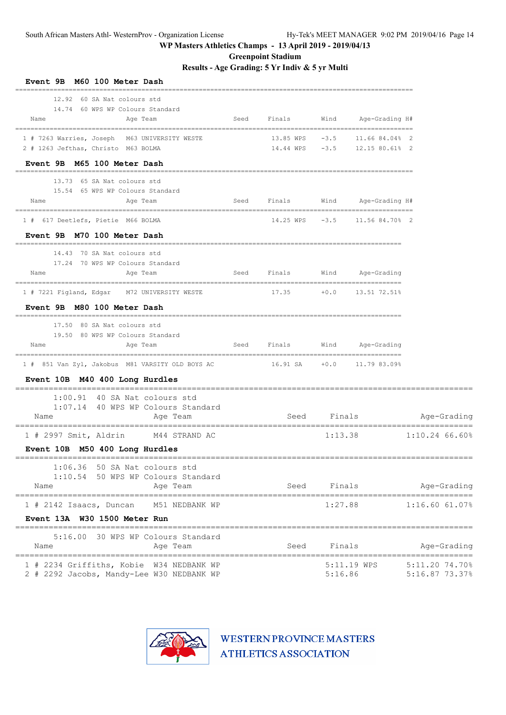**Greenpoint Stadium**

**Results - Age Grading: 5 Yr Indiv & 5 yr Multi**

| Event 9B M60 100 Meter Dash                                                                           |      |        |             |                                                                |                                              |
|-------------------------------------------------------------------------------------------------------|------|--------|-------------|----------------------------------------------------------------|----------------------------------------------|
| 12.92 60 SA Nat colours std<br>14.74 60 WPS WP Colours Standard                                       |      |        |             |                                                                |                                              |
| Name<br>Age Team                                                                                      | Seed | Finals |             | Wind Age-Grading H#                                            |                                              |
| 1 # 7263 Warries, Joseph M63 UNIVERSITY WESTE<br>2 # 1263 Jefthas, Christo M63 BOLMA                  |      |        |             | 13.85 WPS -3.5 11.66 84.04% 2<br>14.44 WPS -3.5 12.15 80.61% 2 |                                              |
| Event 9B M65 100 Meter Dash                                                                           |      |        |             |                                                                |                                              |
| 13.73 65 SA Nat colours std                                                                           |      |        |             |                                                                |                                              |
| 15.54 65 WPS WP Colours Standard                                                                      |      |        |             |                                                                |                                              |
| Age Team<br>Name                                                                                      | Seed | Finals |             | Wind Age-Grading H#                                            |                                              |
| 1 # 617 Deetlefs, Pietie M66 BOLMA                                                                    |      |        |             | 14.25 WPS -3.5 11.56 84.70% 2                                  |                                              |
| Event 9B M70 100 Meter Dash                                                                           |      |        |             |                                                                |                                              |
| 14.43 70 SA Nat colours std                                                                           |      |        |             |                                                                |                                              |
| 17.24 70 WPS WP Colours Standard<br>Name<br>Age Team                                                  | Seed | Finals | Wind        | Age-Grading                                                    |                                              |
| 1 # 7221 Figland, Edgar M72 UNIVERSITY WESTE                                                          |      |        |             | $17.35 + 0.0 + 13.51 72.518$                                   |                                              |
| Event 9B M80 100 Meter Dash                                                                           |      |        |             |                                                                |                                              |
| 17.50 80 SA Nat colours std                                                                           |      |        |             |                                                                |                                              |
| 19.50 80 WPS WP Colours Standard<br>Name<br>Age Team                                                  | Seed | Finals |             | Wind Age-Grading                                               |                                              |
| 1 # 851 Van Zyl, Jakobus M81 VARSITY OLD BOYS AC                  16.91 SA      +0.0     11.79 83.09% |      |        |             |                                                                |                                              |
| Event 10B M40 400 Long Hurdles                                                                        |      |        |             |                                                                |                                              |
| $1:00.91$ 40 SA Nat colours std<br>1:07.14 40 WPS WP Colours Standard                                 |      |        |             |                                                                |                                              |
| Name<br>Age Team                                                                                      |      |        |             | Seed Finals Seed                                               | Age-Grading                                  |
| 1 # 2997 Smit, Aldrin M44 STRAND AC                                                                   |      |        |             |                                                                | $1:13.38$ $1:10.24$ 66.60%                   |
| Event 10B M50 400 Long Hurdles                                                                        |      |        |             |                                                                |                                              |
| 1:06.36 50 SA Nat colours std                                                                         |      |        |             |                                                                |                                              |
| 1:10.54 50 WPS WP Colours Standard<br>Name<br>Age Team                                                |      |        | Seed Finals |                                                                | Age-Grading                                  |
| 1 # 2142 Isaacs, Duncan M51 NEDBANK WP                                                                |      |        | 1:27.88     |                                                                | $1:16.60$ $61.07%$                           |
| Event 13A W30 1500 Meter Run                                                                          |      |        |             |                                                                |                                              |
| 5:16.00 30 WPS WP Colours Standard                                                                    |      |        |             |                                                                |                                              |
| Name<br>Age Team                                                                                      |      | Seed   | Finals      |                                                                | Age-Grading                                  |
| 1 # 2234 Griffiths, Kobie W34 NEDBANK WP<br>2 # 2292 Jacobs, Mandy-Lee W30 NEDBANK WP                 |      |        | 5:16.86     |                                                                | 5:11.19 WPS 5:11.20 74.70%<br>5:16.87 73.37% |

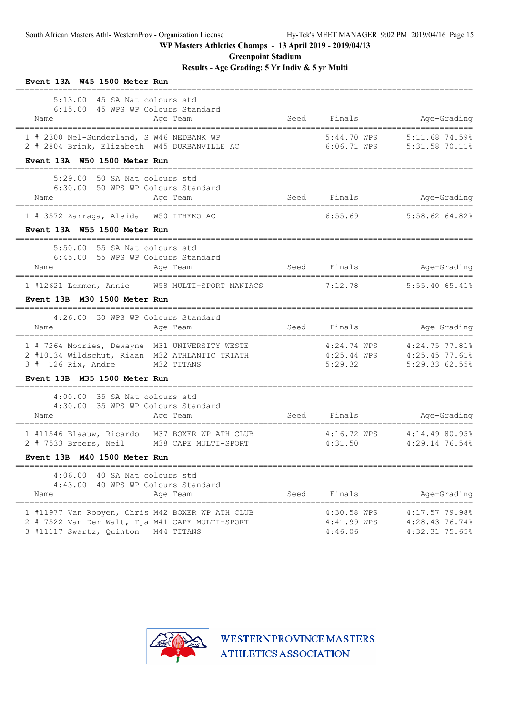**Greenpoint Stadium**

**Results - Age Grading: 5 Yr Indiv & 5 yr Multi**

| Event 13A W45 1500 Meter Run                                                                                                                                      |      |                                                |                                                               |
|-------------------------------------------------------------------------------------------------------------------------------------------------------------------|------|------------------------------------------------|---------------------------------------------------------------|
| 5:13.00 45 SA Nat colours std<br>6:15.00 45 WPS WP Colours Standard<br>Age Team<br>Name                                                                           | Seed | Finals                                         | Age-Grading                                                   |
| 1 # 2300 Nel-Sunderland, S W46 NEDBANK WP<br>2 # 2804 Brink, Elizabeth W45 DURBANVILLE AC<br>Event 13A W50 1500 Meter Run                                         |      | 5:44.70 WPS                                    | 5:11.68 74.59%<br>6:06.71 WPS 5:31.58 70.11%                  |
| 5:29.00 50 SA Nat colours std<br>6:30.00 50 WPS WP Colours Standard<br>Age Team<br>Name                                                                           |      | Seed Finals                                    | Age-Grading                                                   |
| 1 # 3572 Zarraga, Aleida W50 ITHEKO AC<br>Event 13A W55 1500 Meter Run                                                                                            |      | 6:55.69                                        | 5:58.62 64.82%                                                |
| 5:50.00 55 SA Nat colours std<br>6:45.00 55 WPS WP Colours Standard<br>Age Team<br>Name<br>1 #12621 Lemmon, Annie W58 MULTI-SPORT MANIACS                         |      | Seed Finals<br>7:12.78                         | Age-Grading<br>----------------------------<br>5:55.40 65.41% |
| Event 13B M30 1500 Meter Run                                                                                                                                      |      |                                                |                                                               |
| 4:26.00 30 WPS WP Colours Standard<br>Age Team<br>Name                                                                                                            |      | Seed Finals                                    | Age-Grading                                                   |
| 1 # 7264 Moories, Dewayne M31 UNIVERSITY WESTE<br>2 #10134 Wildschut, Riaan M32 ATHLANTIC TRIATH 4:25.44 WPS 4:25.45 77.61%<br>M32 TITANS<br>$3$ # 126 Rix, Andre |      | 5:29.32                                        | 4:24.74 WPS 4:24.75 77.81%<br>5:29.33 62.55%                  |
| Event 13B M35 1500 Meter Run                                                                                                                                      |      |                                                |                                                               |
| 4:00.00 35 SA Nat colours std<br>4:30.00 35 WPS WP Colours Standard<br>Name<br>Age Team                                                                           |      | Seed Finals                                    | Age-Grading                                                   |
| 1 #11546 Blaauw, Ricardo M37 BOXER WP ATH CLUB<br>2 # 7533 Broers, Neil M38 CAPE MULTI-SPORT                                                                      |      | -----------------------------------<br>4:31.50 | 4:16.72 WPS  4:14.49 80.95%<br>4:29.14 76.54%                 |
| Event 13B M40 1500 Meter Run                                                                                                                                      |      |                                                |                                                               |
| 4:06.00 40 SA Nat colours std<br>4:43.00 40 WPS WP Colours Standard<br>Name<br>Age Team                                                                           |      | Seed Finals                                    | Age-Grading                                                   |
| 1 #11977 Van Rooyen, Chris M42 BOXER WP ATH CLUB<br>2 # 7522 Van Der Walt, Tja M41 CAPE MULTI-SPORT<br>3 #11117 Swartz, Quinton M44 TITANS                        |      | 4:30.58 WPS<br>4:41.99 WPS<br>4:46.06          | 4:17.57 79.98%<br>4:28.43 76.74%<br>4:32.31 75.65%            |

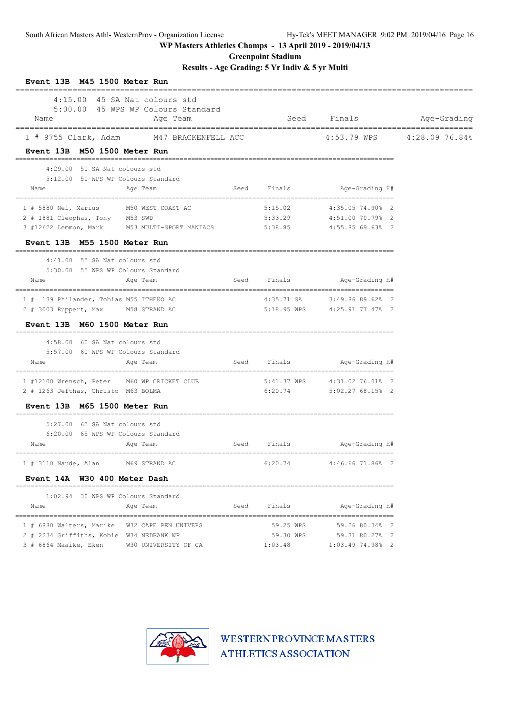**Greenpoint Stadium**

## **Results - Age Grading: 5 Yr Indiv & 5 yr Multi**

| Event 13B M45 1500 Meter Run                                                 |                                                |      |                                   |                                                 |             |
|------------------------------------------------------------------------------|------------------------------------------------|------|-----------------------------------|-------------------------------------------------|-------------|
| 4:15.00 45 SA Nat colours std<br>Name<br>----------------------------------- | 5:00.00 45 WPS WP Colours Standard<br>Age Team |      | Seed<br>========================= | Finals                                          | Age-Grading |
| 1 # 9755 Clark, Adam M47 BRACKENFELL ACC                                     |                                                |      |                                   | 4:53.79 WPS 4:28.09 76.84%                      |             |
| Event 13B M50 1500 Meter Run                                                 |                                                |      |                                   |                                                 |             |
| 4:29.00 50 SA Nat colours std<br>5:12.00 50 WPS WP Colours Standard<br>Name  | Age Team                                       |      | Seed Finals                       | Age-Grading H#                                  |             |
|                                                                              |                                                |      |                                   |                                                 |             |
| 1 # 5880 Nel, Marius M50 WEST COAST AC                                       |                                                |      | 5:15.02                           | 4:35.05 74.90% 2                                |             |
| 2 # 1881 Cleophas, Tony M53 SWD                                              |                                                |      | 5:33.29                           | 4:51.00 70.79% 2                                |             |
| 3 #12622 Lemmon, Mark M53 MULTI-SPORT MANIACS 5:38.85                        |                                                |      |                                   | 4:55.85 69.63% 2                                |             |
| Event 13B M55 1500 Meter Run                                                 |                                                |      |                                   |                                                 |             |
| 4:41.00 55 SA Nat colours std                                                |                                                |      |                                   |                                                 |             |
| 5:30.00 55 WPS WP Colours Standard<br>Name                                   | Age Team                                       |      | Seed Finals                       | Age-Grading H#                                  |             |
| 1 # 139 Philander, Tobias M55 ITHEKO AC                                      |                                                |      |                                   | 4:35.71 SA 3:49.86 89.62% 2                     |             |
| 2 # 3003 Ruppert, Max M58 STRAND AC                                          |                                                |      | 5:18.95 WPS                       | 4:25.91 77.47% 2                                |             |
| Event 13B M60 1500 Meter Run                                                 |                                                |      |                                   |                                                 |             |
| 4:58.00 60 SA Nat colours std                                                |                                                |      |                                   |                                                 |             |
| 5:57.00 60 WPS WP Colours Standard                                           |                                                |      |                                   |                                                 |             |
| Name                                                                         | Age Team                                       | Seed | Finals                            | Age-Grading H#                                  |             |
| 1 #12100 Wrensch, Peter M60 WP CRICKET CLUB                                  | ------------                                   |      | 5:41.37 WPS                       | ___________________________<br>4:31.02 76.01% 2 |             |
| 2 # 1263 Jefthas, Christo M63 BOLMA                                          |                                                |      | 6:20.74                           | $5:02.2768.15%$ 2                               |             |
| Event 13B M65 1500 Meter Run                                                 |                                                |      |                                   |                                                 |             |
| 5:27.00 65 SA Nat colours std                                                |                                                |      |                                   |                                                 |             |
| 6:20.00 65 WPS WP Colours Standard                                           |                                                |      |                                   |                                                 |             |
| Name                                                                         | Age Team                                       | Seed | Finals                            | Age-Grading H#                                  |             |
| 1 # 3110 Naude, Alan M69 STRAND AC                                           |                                                |      | 6:20.74                           | 4:46.66 71.86% 2                                |             |
| Event 14A W30 400 Meter Dash                                                 |                                                |      |                                   |                                                 |             |
| ==========<br>1:02.94 30 WPS WP Colours Standard                             |                                                |      |                                   |                                                 |             |
| Name                                                                         | Age Team                                       | Seed | Finals                            | Age-Grading H#                                  |             |
| 1 # 6880 Walters, Marike W32 CAPE PEN UNIVERS                                |                                                |      | 59.25 WPS                         | 59.26 80.34% 2                                  |             |
| 2 # 2234 Griffiths, Kobie W34 NEDBANK WP                                     |                                                |      | 59.30 WPS                         | 59.31 80.27% 2                                  |             |
| 3 # 6864 Maaike, Eken W30 UNIVERSITY OF CA                                   |                                                |      | 1:03.48                           | 1:03.49 74.98% 2                                |             |

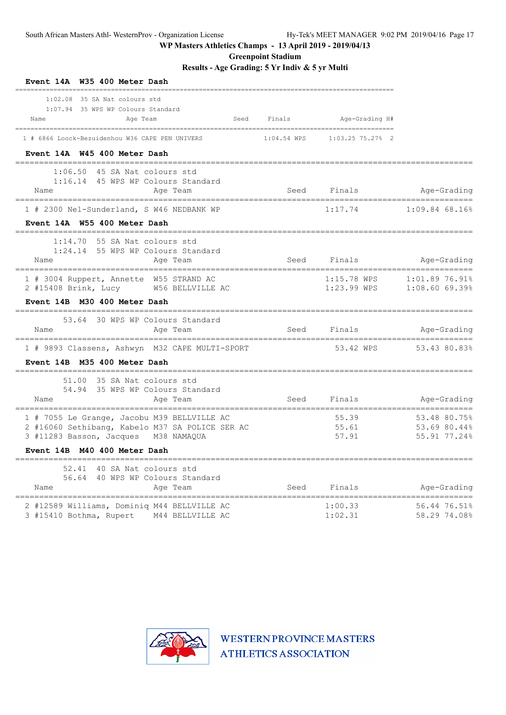**Greenpoint Stadium**

**Results - Age Grading: 5 Yr Indiv & 5 yr Multi**

| W35 400 Meter Dash<br>Event 14A                                                                                                           |        |                              |                                              |
|-------------------------------------------------------------------------------------------------------------------------------------------|--------|------------------------------|----------------------------------------------|
| 1:02.08 35 SA Nat colours std<br>1:07.94 35 WPS WP Colours Standard<br>Seed<br>Name<br>Age Team                                           | Finals | Age-Grading H#               |                                              |
| 1 # 6866 Loock-Bezuidenhou W36 CAPE PEN UNIVERS<br>Event 14A W45 400 Meter Dash                                                           |        |                              |                                              |
| 1:06.50 45 SA Nat colours std<br>1:16.14 45 WPS WP Colours Standard<br>Name<br>Age Team<br>===================================            |        | Seed Finals                  | Age-Grading                                  |
| 1 # 2300 Nel-Sunderland, S W46 NEDBANK WP<br>Event 14A W55 400 Meter Dash                                                                 |        | 1:17.74                      | $1:09.84$ 68.16%                             |
| 1:14.70<br>55 SA Nat colours std<br>1:24.14 55 WPS WP Colours Standard<br>Name<br>Age Team                                                |        | Seed Finals                  | Age-Grading                                  |
| 1 # 3004 Ruppert, Annette W55 STRAND AC<br>2 #15408 Brink, Lucy<br>W56 BELLVILLE AC<br>Event 14B M30 400 Meter Dash                       |        | 1:15.78 WPS<br>$1:23.99$ WPS | 1:01.89 76.91%<br>$1:08.60$ 69.39%           |
| 53.64 30 WPS WP Colours Standard<br>Name<br>Age Team                                                                                      | Seed   | Finals                       | Age-Grading                                  |
| 1 # 9893 Classens, Ashwyn M32 CAPE MULTI-SPORT<br>Event 14B M35 400 Meter Dash                                                            |        | 53.42 WPS                    | 53.43 80.83%                                 |
| 51.00 35 SA Nat colours std<br>54.94 35 WPS WP Colours Standard<br>Name<br>Age Team                                                       | Seed   | Finals                       | Age-Grading                                  |
| 1 # 7055 Le Grange, Jacobu M39 BELLVILLE AC<br>2 #16060 Sethibang, Kabelo M37 SA POLICE SER AC<br>3 #11283 Basson, Jacques<br>M38 NAMAQUA |        | 55.39<br>55.61<br>57.91      | 53.48 80.75%<br>53.69 80.44%<br>55.91 77.24% |
| Event 14B M40 400 Meter Dash                                                                                                              |        |                              |                                              |
| 52.41<br>40 SA Nat colours std<br>56.64 40 WPS WP Colours Standard<br>Name<br>Age Team                                                    |        | Seed Finals                  | Age-Grading                                  |
| 2 #12589 Williams, Dominiq M44 BELLVILLE AC<br>3 #15410 Bothma, Rupert M44 BELLVILLE AC                                                   |        | 1:00.33<br>1:02.31           | 56.44 76.51%<br>58.29 74.08%                 |

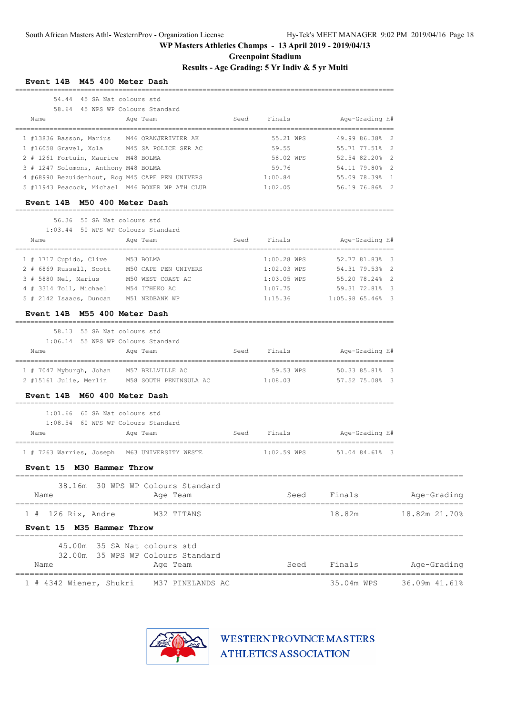**Greenpoint Stadium**

**Results - Age Grading: 5 Yr Indiv & 5 yr Multi**

| 54.44 45 SA Nat colours std<br>Name                               | 58.64 45 WPS WP Colours Standard<br>Age Team                      | Seed | Finals        | Age-Grading H#   |               |
|-------------------------------------------------------------------|-------------------------------------------------------------------|------|---------------|------------------|---------------|
| 1 #13836 Basson, Marius M46 ORANJERIVIER AK                       |                                                                   |      | 55.21 WPS     | 49.99 86.38% 2   |               |
| 1 #16058 Gravel, Xola M45 SA POLICE SER AC                        |                                                                   |      | 59.55         | 55.71 77.51% 2   |               |
| 2 # 1261 Fortuin, Maurice M48 BOLMA                               |                                                                   |      | 58.02 WPS     | 52.54 82.20% 2   |               |
| 3 # 1247 Solomons, Anthony M48 BOLMA                              |                                                                   |      | 59.76         | 54.11 79.80% 2   |               |
| 4 #68990 Bezuidenhout, Rog M45 CAPE PEN UNIVERS                   |                                                                   |      | 1:00.84       | 55.09 78.39% 1   |               |
| 5 #11943 Peacock, Michael M46 BOXER WP ATH CLUB                   |                                                                   |      | 1:02.05       | 56.19 76.86% 2   |               |
| Event 14B M50 400 Meter Dash<br>===========                       |                                                                   |      |               |                  |               |
| 56.36 50 SA Nat colours std<br>1:03.44 50 WPS WP Colours Standard |                                                                   |      |               |                  |               |
| Name                                                              | Age Team                                                          | Seed | Finals        | Age-Grading H#   |               |
| 1 # 1717 Cupido, Clive M53 BOLMA                                  |                                                                   |      | 1:00.28 WPS   | 52.77 81.83% 3   |               |
| 2 # 6869 Russell, Scott M50 CAPE PEN UNIVERS                      |                                                                   |      | $1:02.03$ WPS | 54.31 79.53% 2   |               |
| 3 # 5880 Nel, Marius M50 WEST COAST AC                            |                                                                   |      | 1:03.05 WPS   | 55.20 78.24% 2   |               |
| 4 # 3314 Toll, Michael M54 ITHEKO AC                              |                                                                   |      | 1:07.75       | 59.31 72.81% 3   |               |
| 5 # 2142 Isaacs, Duncan M51 NEDBANK WP                            |                                                                   |      | 1:15.36       | 1:05.98 65.46% 3 |               |
| Event 14B M55 400 Meter Dash                                      |                                                                   |      |               |                  |               |
| 58.13 55 SA Nat colours std                                       |                                                                   |      |               |                  |               |
| 1:06.14 55 WPS WP Colours Standard                                |                                                                   |      |               |                  |               |
| Name                                                              | Age Team                                                          | Seed | Finals        | Aqe-Grading H#   |               |
| 1 # 7047 Myburgh, Johan M57 BELLVILLE AC                          |                                                                   |      | 59.53 WPS     | 50.33 85.81% 3   |               |
|                                                                   | 2 #15161 Julie, Merlin M58 SOUTH PENINSULA AC                     |      | 1:08.03       | 57.52 75.08% 3   |               |
| Event 14B M60 400 Meter Dash                                      |                                                                   |      |               |                  |               |
| $1:01.66$ 60 SA Nat colours std                                   |                                                                   |      |               |                  |               |
| 1:08.54 60 WPS WP Colours Standard<br>Name                        | Age Team                                                          | Seed | Finals        | Age-Grading H#   |               |
| 1 # 7263 Warries, Joseph                                          | M63 UNIVERSITY WESTE                                              |      | $1:02.59$ WPS | 51.04 84.61% 3   |               |
| Event 15 M30 Hammer Throw                                         |                                                                   |      |               |                  |               |
| Name                                                              | 38.16m 30 WPS WP Colours Standard<br>Age Team                     |      | Seed          | Finals           | Age-Grading   |
| $1$ # 126 Rix, Andre                                              | M32 TITANS                                                        |      |               | 18.82m           | 18.82m 21.70% |
| Event 15 M35 Hammer Throw                                         |                                                                   |      |               |                  |               |
|                                                                   | 45.00m 35 SA Nat colours std<br>32.00m 35 WPS WP Colours Standard |      |               |                  |               |
| Name                                                              | Age Team                                                          |      | Seed          | Finals           | Age-Grading   |
|                                                                   |                                                                   |      |               |                  |               |

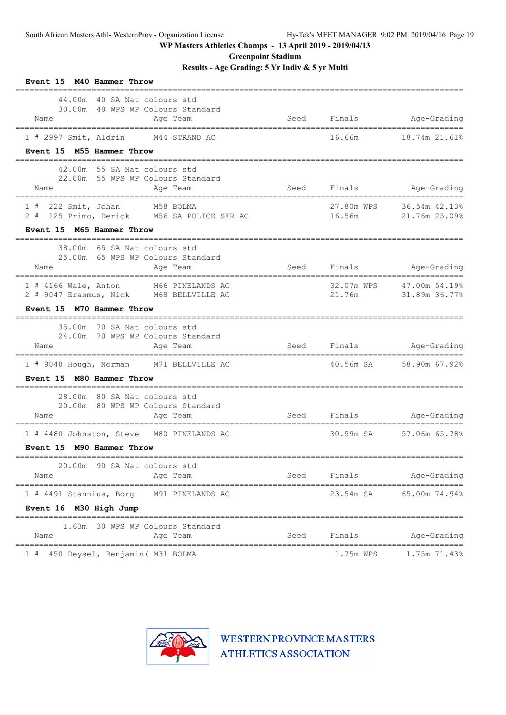**Greenpoint Stadium**

**Results - Age Grading: 5 Yr Indiv & 5 yr Multi**

| Event 15 M40 Hammer Throw                                                                                                     |        |                      |                                                 |
|-------------------------------------------------------------------------------------------------------------------------------|--------|----------------------|-------------------------------------------------|
| 44.00m 40 SA Nat colours std<br>30.00m 40 WPS WP Colours Standard<br>Age Team<br>Name<br>____________________________________ | Seed   |                      | Finals Age-Grading                              |
| 1 # 2997 Smit, Aldrin M44 STRAND AC                                                                                           |        | 16.66m               | 18.74m 21.61%                                   |
| Event 15 M55 Hammer Throw                                                                                                     |        |                      |                                                 |
| 42.00m 55 SA Nat colours std<br>22.00m 55 WPS WP Colours Standard<br>Name<br>Age Team                                         | Seed   |                      | Finals Age-Grading                              |
| 1 # 222 Smit, Johan M58 BOLMA<br>2 # 125 Primo, Derick M56 SA POLICE SER AC                                                   | 16.56m | 27.80m WPS           | 36.54m 42.13%<br>21.76m 25.09%                  |
| Event 15 M65 Hammer Throw                                                                                                     |        |                      |                                                 |
| 38.00m 65 SA Nat colours std<br>25.00m 65 WPS WP Colours Standard<br>Name<br>Age Team                                         |        | Seed Finals          | Age-Grading                                     |
| 1 # 4166 Wale, Anton M66 PINELANDS AC<br>2 # 9047 Erasmus, Nick M68 BELLVILLE AC                                              |        | 32.07m WPS<br>21.76m | 47.00m 54.19%<br>31.89m 36.77%                  |
| Event 15 M70 Hammer Throw<br>______________________________________                                                           |        |                      |                                                 |
| 35.00m<br>70 SA Nat colours std<br>24.00m 70 WPS WP Colours Standard<br>Name<br>Age Team                                      |        |                      | Seed Finals Age-Grading                         |
| =================================<br>===============================<br>1 # 9048 Hough, Norman M71 BELLVILLE AC               |        |                      | ====================<br>40.56m SA 58.90m 67.92% |
| Event 15 M80 Hammer Throw<br>_____________________________                                                                    |        |                      |                                                 |
| 28.00m 80 SA Nat colours std<br>20.00m 80 WPS WP Colours Standard<br>Name<br>Age Team                                         | Seed   |                      | Finals Age-Grading                              |
| 1 # 4480 Johnston, Steve M80 PINELANDS AC                                                                                     |        |                      | 30.59m SA 57.06m 65.78%                         |
| Event 15 M90 Hammer Throw                                                                                                     |        |                      |                                                 |
| ------------------------------<br>20.00m 90 SA Nat colours std                                                                |        |                      | =================                               |
| Name<br>Age Team                                                                                                              | Seed   | Finals               | Age-Grading                                     |
| =====================================<br>====================================<br>1 # 4491 Stannius, Borg<br>M91 PINELANDS AC  |        | 23.54m SA            | 65.00m 74.94%                                   |
| Event 16 M30 High Jump                                                                                                        |        |                      |                                                 |
| 30 WPS WP Colours Standard<br>1.63m<br>Name<br>Age Team                                                                       | Seed   | Finals               | Age-Grading                                     |
| =================================<br>450 Deysel, Benjamin ( M31 BOLMA<br>1#                                                   |        | 1.75m WPS            | 1.75m 71.43%                                    |

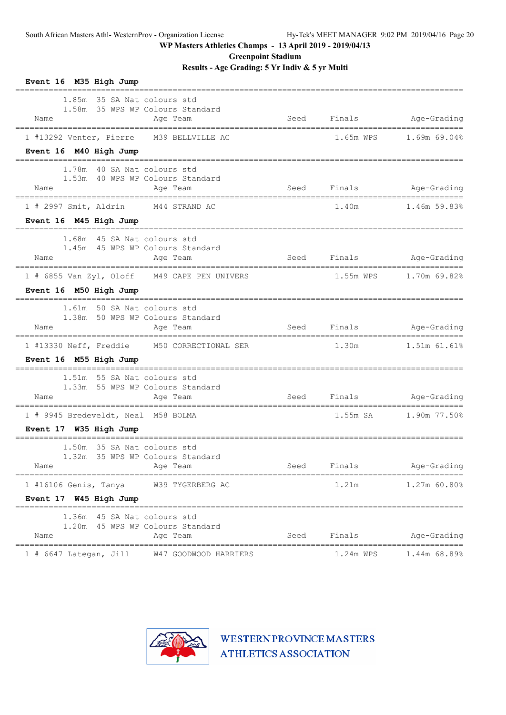**Greenpoint Stadium**

**Results - Age Grading: 5 Yr Indiv & 5 yr Multi**

| Event 16 M35 High Jump<br>==================================                        |                              |                         |                                        |
|-------------------------------------------------------------------------------------|------------------------------|-------------------------|----------------------------------------|
| 1.85m 35 SA Nat colours std<br>1.58m 35 WPS WP Colours Standard<br>Name<br>Age Team | Seed                         |                         | Finals Age-Grading                     |
| 1 #13292 Venter, Pierre M39 BELLVILLE AC                                            |                              | 1.65m WPS               | 1.69m 69.04%                           |
| Event 16 M40 High Jump                                                              |                              |                         |                                        |
| 1.78m 40 SA Nat colours std<br>1.53m 40 WPS WP Colours Standard<br>Name<br>Age Team | Seed                         |                         | Finals Age-Grading                     |
| 1 # 2997 Smit, Aldrin M44 STRAND AC                                                 |                              | 1.40m                   | $1.46m$ 59.83%                         |
| Event 16 M45 High Jump<br>============================                              |                              |                         |                                        |
| 1.68m 45 SA Nat colours std<br>1.45m 45 WPS WP Colours Standard<br>Age Team<br>Name |                              | Seed Finals             | Age-Grading                            |
| 1 # 6855 Van Zyl, Oloff M49 CAPE PEN UNIVERS                                        |                              | 1.55m WPS               | 1.70m 69.82%                           |
| Event 16 M50 High Jump                                                              | ============================ |                         |                                        |
| 1.61m 50 SA Nat colours std<br>1.38m 50 WPS WP Colours Standard<br>Age Team<br>Name |                              | Seed Finals Age-Grading |                                        |
| 1 #13330 Neff, Freddie M50 CORRECTIONAL SER                                         |                              | 1.30m                   | 1.51m 61.61%                           |
| Event 16 M55 High Jump                                                              |                              |                         |                                        |
| 1.51m 55 SA Nat colours std<br>1.33m 55 WPS WP Colours Standard<br>Name<br>Age Team |                              | Seed Finals Age-Grading |                                        |
| 1 # 9945 Bredeveldt, Neal M58 BOLMA                                                 |                              | 1.55m SA                | 1.90m 77.50%                           |
| Event 17 W35 High Jump                                                              |                              |                         |                                        |
| 1.50m 35 SA Nat colours std<br>1.32m 35 WPS WP Colours Standard<br>Age Team<br>Name | Seed                         | Finals                  | Age-Grading                            |
| $1$ #16106 Genis, Tanya<br>W39 TYGERBERG AC                                         |                              | 1.21m                   | ----------------------<br>1.27m 60.80% |
| Event 17 W45 High Jump                                                              |                              |                         |                                        |
| 1.36m 45 SA Nat colours std<br>1.20m 45 WPS WP Colours Standard                     |                              |                         |                                        |
| Name<br>Age Team                                                                    | Seed                         | Finals                  | Age-Grading                            |
| $1$ # 6647 Lategan, Jill<br>W47 GOODWOOD HARRIERS                                   |                              | 1.24m WPS               | 1.44m 68.89%                           |

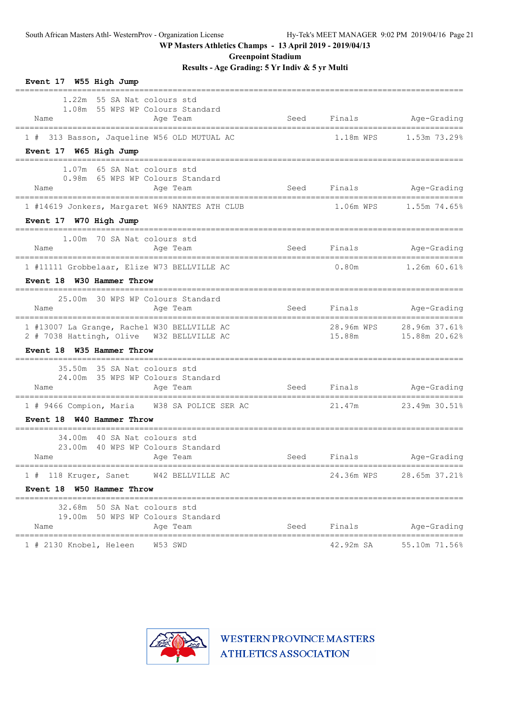**Greenpoint Stadium**

**Results - Age Grading: 5 Yr Indiv & 5 yr Multi**

| Event 17 W55 High Jump                                                                                                                                                                      |      |            |                                           |
|---------------------------------------------------------------------------------------------------------------------------------------------------------------------------------------------|------|------------|-------------------------------------------|
| 1.22m 55 SA Nat colours std<br>1.08m 55 WPS WP Colours Standard<br>Name<br>Age Team                                                                                                         | Seed |            | Finals Age-Grading                        |
| 1 # 313 Basson, Jaqueline W56 OLD MUTUAL AC                                                                                                                                                 |      | 1.18m WPS  | 1.53m 73.29%                              |
| Event 17 W65 High Jump                                                                                                                                                                      |      |            |                                           |
| 1.07m 65 SA Nat colours std<br>0.98m 65 WPS WP Colours Standard<br>Age Team<br><b>Seed</b><br>Name                                                                                          |      |            | Finals Age-Grading                        |
| 1 #14619 Jonkers, Margaret W69 NANTES ATH CLUB                                                                                                                                              |      |            | 1.06m WPS 1.55m 74.65%                    |
| Event 17 W70 High Jump                                                                                                                                                                      |      |            |                                           |
| 1.00m 70 SA Nat colours std<br>Name<br>Age Team                                                                                                                                             | Seed | Finals     | Age-Grading                               |
| 1 #11111 Grobbelaar, Elize W73 BELLVILLE AC                                                                                                                                                 |      | 0.80m      | $1.26m$ 60.61%                            |
| Event 18 W30 Hammer Throw                                                                                                                                                                   |      |            |                                           |
| 25.00m 30 WPS WP Colours Standard<br>Name<br>Age Team                                                                                                                                       | Seed | Finals     | Age-Grading                               |
| 1 #13007 La Grange, Rachel W30 BELLVILLE AC<br>2 # 7038 Hattingh, Olive W32 BELLVILLE AC<br>Event 18 W35 Hammer Throw                                                                       |      | 15.88m     | 28.96m WPS 28.96m 37.61%<br>15.88m 20.62% |
| 35.50m 35 SA Nat colours std<br>24.00m 35 WPS WP Colours Standard<br>Age Team<br>Name                                                                                                       |      |            | Seed Finals Age-Grading                   |
| 1 # 9466 Compion, Maria W38 SA POLICE SER AC                                                                                                                                                |      | 21.47m     | 23.49m 30.51%                             |
| Event 18 W40 Hammer Throw                                                                                                                                                                   |      |            |                                           |
| 34.00m 40 SA Nat colours std<br>23.00m 40 WPS WP Colours Standard<br>and the state of the state of the state of the state of the state of the state of the state of the state of th<br>Name |      |            | Seed Finals Age-Grading                   |
| 1 # 118 Kruger, Sanet W42 BELLVILLE AC                                                                                                                                                      |      | 24.36m WPS | 28.65m 37.21%                             |
| Event 18 W50 Hammer Throw                                                                                                                                                                   |      |            |                                           |
| 32.68m 50 SA Nat colours std                                                                                                                                                                |      |            |                                           |
| 19.00m 50 WPS WP Colours Standard<br>Name<br>Age Team                                                                                                                                       | Seed | Finals     | Age-Grading                               |
| 1 # 2130 Knobel, Heleen W53 SWD                                                                                                                                                             |      |            | 42.92m SA 55.10m 71.56%                   |

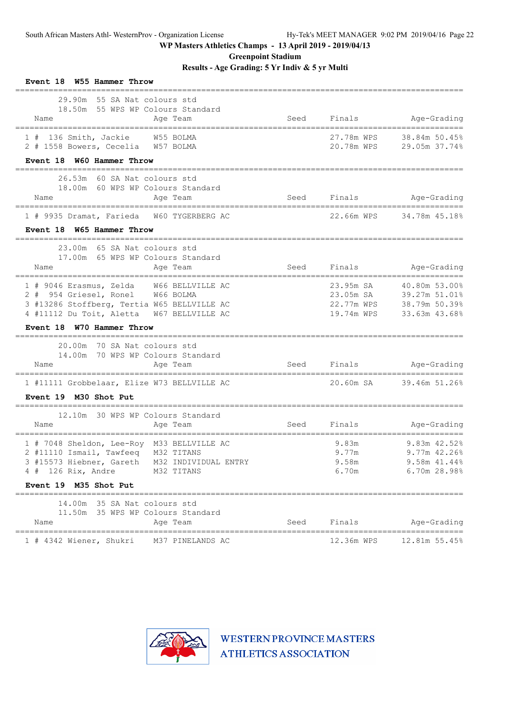**Greenpoint Stadium**

**Results - Age Grading: 5 Yr Indiv & 5 yr Multi**

| Event 18 W55 Hammer Throw                                                                                                                                                                             |                                |                                                    |                                                                  |
|-------------------------------------------------------------------------------------------------------------------------------------------------------------------------------------------------------|--------------------------------|----------------------------------------------------|------------------------------------------------------------------|
| 29.90m 55 SA Nat colours std<br>18.50m 55 WPS WP Colours Standard<br>Name<br>Age Team<br>____________________________________                                                                         | Seed                           | Finals                                             | Age-Grading                                                      |
| 1 # 136 Smith, Jackie W55 BOLMA<br>2 # 1558 Bowers, Cecelia W57 BOLMA<br>Event 18 W60 Hammer Throw                                                                                                    |                                | 27.78m WPS<br>20.78m WPS                           | 38.84m 50.45%<br>29.05m 37.74%                                   |
| 26.53m 60 SA Nat colours std<br>18.00m 60 WPS WP Colours Standard<br>Name<br>Age Team                                                                                                                 | Seed                           | Finals                                             | Age-Grading                                                      |
| 1 # 9935 Dramat, Farieda W60 TYGERBERG AC<br>Event 18 W65 Hammer Throw                                                                                                                                |                                | 22.66m WPS                                         | 34.78m 45.18%                                                    |
| 23.00m 65 SA Nat colours std<br>17.00m 65 WPS WP Colours Standard<br>Name<br>Age Team                                                                                                                 | ______________________<br>Seed | Finals                                             | Age-Grading                                                      |
| 1 # 9046 Erasmus, Zelda W66 BELLVILLE AC<br>2 # 954 Griesel, Ronel W66 BOLMA<br>3 #13286 Stoffberg, Tertia W65 BELLVILLE AC<br>4 #11112 Du Toit, Aletta W67 BELLVILLE AC<br>Event 18 W70 Hammer Throw |                                | 23.95m SA<br>23.05m SA<br>22.77m WPS<br>19.74m WPS | 40.80m 53.00%<br>39.27m 51.01%<br>38.79m 50.39%<br>33.63m 43.68% |
| 20.00m 70 SA Nat colours std<br>14.00m 70 WPS WP Colours Standard<br>Name<br>Age Team                                                                                                                 | Seed                           |                                                    | Finals Age-Grading                                               |
| 1 #11111 Grobbelaar, Elize W73 BELLVILLE AC<br>Event 19 M30 Shot Put                                                                                                                                  |                                | 20.60m SA                                          | 39.46m 51.26%                                                    |
| 12.10m 30 WPS WP Colours Standard<br>Name<br>Age Team                                                                                                                                                 | Seed                           | Finals                                             | Age-Grading                                                      |
| 1 # 7048 Sheldon, Lee-Roy M33 BELLVILLE AC<br>2 #11110 Ismail, Tawfeeq M32 TITANS<br>3 #15573 Hiebner, Gareth M32 INDIVIDUAL ENTRY<br>$4$ # 126 Rix, Andre<br>M32 TITANS<br>Event 19 M35 Shot Put     |                                | 9.83m<br>9.77m<br>9.58m<br>6.70m                   | 9.83m 42.52%<br>9.77m 42.26%<br>9.58m 41.44%<br>6.70m 28.98%     |
| ==========<br>14.00m 35 SA Nat colours std<br>11.50m 35 WPS WP Colours Standard<br>Name<br>Age Team                                                                                                   | Seed                           | Finals                                             | Age-Grading                                                      |
| 1 # 4342 Wiener, Shukri<br>M37 PINELANDS AC                                                                                                                                                           | =====================          | 12.36m WPS                                         | 12.81m 55.45%                                                    |

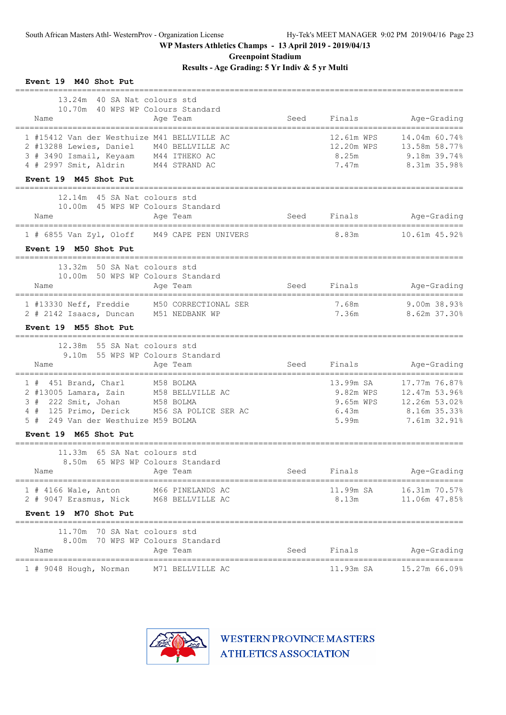**Greenpoint Stadium**

**Results - Age Grading: 5 Yr Indiv & 5 yr Multi**

| Event 19 M40 Shot Put                                                                                                                                                                                    |      |                                                       |                                                                                 |
|----------------------------------------------------------------------------------------------------------------------------------------------------------------------------------------------------------|------|-------------------------------------------------------|---------------------------------------------------------------------------------|
| 13.24m 40 SA Nat. colours std<br>10.70m 40 WPS WP Colours Standard<br>Name<br>Age Team                                                                                                                   | Seed | Finals                                                | Age-Grading                                                                     |
| 1 #15412 Van der Westhuize M41 BELLVILLE AC<br>2 #13288 Lewies, Daniel M40 BELLVILLE AC<br>3 # 3490 Ismail, Keyaam M44 ITHEKO AC<br>4 # 2997 Smit, Aldrin M44 STRAND AC                                  |      | 12.61m WPS<br>12.20m WPS<br>8.25m<br>7.47m            | 14.04m 60.74%<br>13.58m 58.77%<br>9.18m 39.74%<br>8.31m 35.98%                  |
| Event 19 M45 Shot Put                                                                                                                                                                                    |      |                                                       |                                                                                 |
| 12.14m 45 SA Nat colours std<br>10.00m 45 WPS WP Colours Standard<br>Age Team<br>Name                                                                                                                    | Seed | Finals                                                | Age-Grading                                                                     |
| $1$ # 6855 Van Zyl, Oloff<br>M49 CAPE PEN UNIVERS<br>Event 19 M50 Shot Put                                                                                                                               |      | 8.83m                                                 | 10.61m 45.92%                                                                   |
| 13.32m 50 SA Nat colours std<br>10.00m 50 WPS WP Colours Standard<br>Name<br>Age Team                                                                                                                    |      | Seed Finals                                           | Age-Grading                                                                     |
| 1 #13330 Neff, Freddie M50 CORRECTIONAL SER<br>2 # 2142 Isaacs, Duncan M51 NEDBANK WP                                                                                                                    |      | 7.68m<br>7.36m                                        | 9.00m 38.93%<br>8.62m 37.30%                                                    |
| Event 19 M55 Shot Put                                                                                                                                                                                    |      |                                                       |                                                                                 |
| 12.38m 55 SA Nat colours std<br>9.10m 55 WPS WP Colours Standard<br>Name<br>Age Team                                                                                                                     | Seed | Finals                                                | Age-Grading                                                                     |
| M58 BOLMA<br>$1$ # 451 Brand, Charl<br>2 #13005 Lamara, Zain<br>M58 BELLVILLE AC<br>3 # 222 Smit, Johan M58 BOLMA<br>4 # 125 Primo, Derick M56 SA POLICE SER AC<br>5#<br>249 Van der Westhuize M59 BOLMA |      | 13.99m SA<br>9.82m WPS<br>9.65m WPS<br>6.43m<br>5.99m | 17.77m 76.87%<br>12.47m 53.96%<br>12.26m 53.02%<br>8.16m 35.33%<br>7.61m 32.91% |
| Event 19 M65 Shot Put                                                                                                                                                                                    |      |                                                       |                                                                                 |
| 11.33m 65 SA Nat colours std<br>8.50m 65 WPS WP Colours Standard<br>Name<br>Age Team                                                                                                                     | Seed | Finals                                                | Age-Grading                                                                     |
| $1$ # 4166 Wale, Anton<br>M66 PINELANDS AC<br>2 # 9047 Erasmus, Nick<br>M68 BELLVILLE AC                                                                                                                 |      | 11.99m SA<br>8.13m                                    | 16.31m 70.57%<br>11.06m 47.85%                                                  |
| Event 19 M70 Shot Put                                                                                                                                                                                    |      |                                                       |                                                                                 |
| 70 SA Nat colours std<br>11.70m<br>8.00m 70 WPS WP Colours Standard<br>Age Team<br>Name                                                                                                                  | Seed | Finals                                                | Age-Grading                                                                     |
| ====================<br>M71 BELLVILLE AC<br>1 # 9048 Hough, Norman                                                                                                                                       |      | 11.93m SA                                             | 15.27m 66.09%                                                                   |

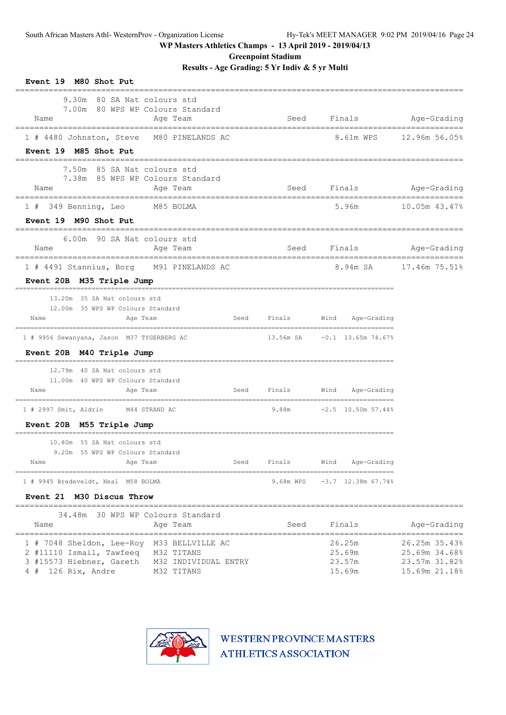**Greenpoint Stadium**

**Results - Age Grading: 5 Yr Indiv & 5 yr Multi**

| Event 19 M80 Shot Put                                                                           |      |           |                                       |                         |
|-------------------------------------------------------------------------------------------------|------|-----------|---------------------------------------|-------------------------|
| 9.30m 80 SA Nat colours std<br>7.00m 80 WPS WP Colours Standard<br>Name<br>Age Team             |      |           | Seed Finals Age-Grading               |                         |
| 1 # 4480 Johnston, Steve M80 PINELANDS AC<br>Event 19 M85 Shot Put<br>============              |      |           |                                       | 8.61m WPS 12.96m 56.05% |
| 7.50m 85 SA Nat colours std<br>7.38m 85 WPS WP Colours Standard<br>Age Team<br>Name             |      | Seed      |                                       | Finals Age-Grading      |
| 1 # 349 Benning, Leo M85 BOLMA                                                                  |      |           | 5.96m                                 | 10.05m 43.47%           |
| Event 19 M90 Shot Put                                                                           |      |           |                                       |                         |
| 6.00m 90 SA Nat colours std<br>Name<br>Age Team<br>___________________________________          |      | Seed      | Finals                                | Age-Grading             |
| 1 # 4491 Stannius, Borg M91 PINELANDS AC<br>Event 20B M35 Triple Jump                           |      |           |                                       | 8.94m SA 17.46m 75.51%  |
| 13.20m 35 SA Nat colours std<br>12.00m 35 WPS WP Colours Standard<br>Age Team<br>Name           | Seed | Finals    | Wind Age-Grading                      |                         |
| 1 # 9956 Sewanyana, Jason M37 TYGERBERG AC                                                      |      |           | 13.56m SA    -0.1    13.65m    74.67% |                         |
| Event 20B M40 Triple Jump                                                                       |      |           |                                       |                         |
| 12.79m 40 SA Nat colours std<br>11.00m 40 WPS WP Colours Standard                               |      |           |                                       |                         |
| Name<br>Age Team                                                                                | Seed |           | Finals Wind Age-Grading               |                         |
| 1 # 2997 Smit, Aldrin M44 STRAND AC                                                             |      |           | 9.88m -2.5 10.50m 57.44%              |                         |
| Event 20B M55 Triple Jump                                                                       |      |           |                                       |                         |
| 10.80m 55 SA Nat colours std<br>9.20m 55 WPS WP Colours Standard<br>Age Team<br>Name            | Seed | Finals    | Wind<br>Age-Grading                   |                         |
| 1 # 9945 Bredeveldt, Neal M58 BOLMA                                                             |      | 9.68m WPS | $-3.7$ 12.38m 67.74%                  |                         |
| Event 21 M30 Discus Throw                                                                       |      |           |                                       |                         |
| ===================================<br>30 WPS WP Colours Standard<br>34.48m<br>Name<br>Age Team |      | Seed      | Finals                                | Age-Grading             |

| 1 # 7048 Sheldon, Lee-Roy M33 BELLVILLE AC    |            | 26.25m | 26.25m 35.43% |
|-----------------------------------------------|------------|--------|---------------|
| 2 #11110 Ismail, Tawfeeq M32 TITANS           |            | 25.69m | 25.69m 34.68% |
| 3 #15573 Hiebner, Gareth M32 INDIVIDUAL ENTRY |            | 23.57m | 23.57m 31.82% |
| $4$ # 126 Rix, Andre                          | M32 TITANS | 15.69m | 15.69m 21.18% |

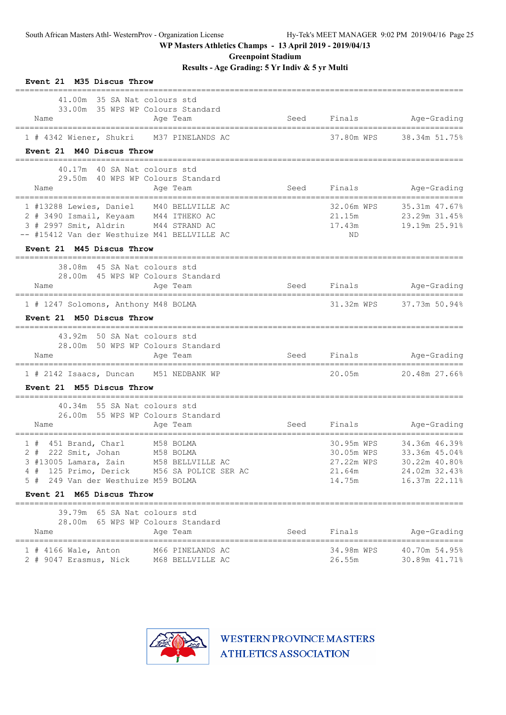**Greenpoint Stadium**

**Results - Age Grading: 5 Yr Indiv & 5 yr Multi**

| Event 21 M35 Discus Throw                                                                                                                                                                                                                 |      |                                                            |                                                                                   |
|-------------------------------------------------------------------------------------------------------------------------------------------------------------------------------------------------------------------------------------------|------|------------------------------------------------------------|-----------------------------------------------------------------------------------|
| 41,00m 35 SA Nat colours std<br>33.00m 35 WPS WP Colours Standard<br>Name<br>Age Team                                                                                                                                                     | Seed | Finals                                                     | Age-Grading                                                                       |
| 1 # 4342 Wiener, Shukri M37 PINELANDS AC                                                                                                                                                                                                  |      | 37.80m WPS                                                 | 38.34m 51.75%                                                                     |
| Event 21 M40 Discus Throw                                                                                                                                                                                                                 |      |                                                            |                                                                                   |
| 40.17m 40 SA Nat colours std<br>29.50m 40 WPS WP Colours Standard<br>Age Team<br>Name                                                                                                                                                     | Seed | Finals                                                     | Age-Grading                                                                       |
| 1 #13288 Lewies, Daniel M40 BELLVILLE AC<br>2 # 3490 Ismail, Keyaam M44 ITHEKO AC<br>3 # 2997 Smit, Aldrin M44 STRAND AC<br>-- #15412 Van der Westhuize M41 BELLVILLE AC                                                                  |      | 32.06m WPS<br>21.15m<br>17.43m<br>ND.                      | 35.31m 47.67%<br>23.29m 31.45%<br>19.19m 25.91%                                   |
| Event 21 M45 Discus Throw                                                                                                                                                                                                                 |      |                                                            |                                                                                   |
| 38.08m 45 SA Nat colours std<br>28.00m 45 WPS WP Colours Standard<br>Age Team<br>Name                                                                                                                                                     |      | Seed Finals                                                | Age-Grading                                                                       |
| 1 # 1247 Solomons, Anthony M48 BOLMA<br>Event 21 M50 Discus Throw                                                                                                                                                                         |      |                                                            | 31.32m WPS 37.73m 50.94%                                                          |
| 43.92m 50 SA Nat colours std<br>28.00m 50 WPS WP Colours Standard<br>Name<br>Age Team                                                                                                                                                     |      |                                                            | Seed Finals Age-Grading                                                           |
| --------------------------------<br>-================================<br>1 # 2142 Isaacs, Duncan M51 NEDBANK WP<br>Event 21 M55 Discus Throw                                                                                              |      | 20.05m                                                     | _____________________<br>20.48m 27.66%                                            |
| 40.34m 55 SA Nat colours std<br>26.00m 55 WPS WP Colours Standard<br>Name<br>Age Team                                                                                                                                                     | Seed | Finals                                                     | Age-Grading                                                                       |
| M58 BOLMA<br>$1$ # 451 Brand, Charl<br>2 # 222 Smit, Johan<br>M58 BOLMA<br>3 #13005 Lamara, Zain<br>M58 BELLVILLE AC<br>4 # 125 Primo, Derick<br>M56 SA POLICE SER AC<br>5 # 249 Van der Westhuize M59 BOLMA<br>Event 21 M65 Discus Throw |      | 30.95m WPS<br>30.05m WPS<br>27.22m WPS<br>21.64m<br>14.75m | 34.36m 46.39%<br>33.36m 45.04%<br>30.22m 40.80%<br>24.02m 32.43%<br>16.37m 22.11% |
| 39.79m 65 SA Nat colours std<br>28.00m 65 WPS WP Colours Standard<br>Age Team<br>Name                                                                                                                                                     | Seed | Finals                                                     | Age-Grading                                                                       |
| $1$ # 4166 Wale, Anton<br>M66 PINELANDS AC<br>2 # 9047 Erasmus, Nick<br>M68 BELLVILLE AC                                                                                                                                                  |      | 34.98m WPS<br>26.55m                                       | 40.70m 54.95%<br>30.89m 41.71%                                                    |

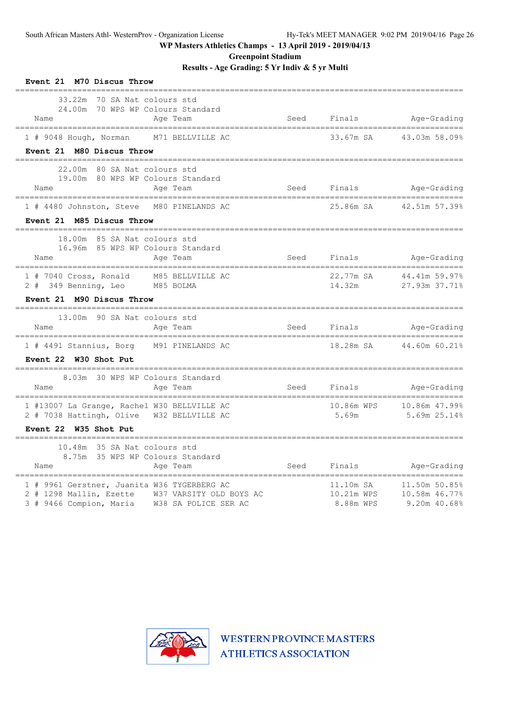**Greenpoint Stadium**

**Results - Age Grading: 5 Yr Indiv & 5 yr Multi**

| Event 21 M70 Discus Throw                                                                                                                                                           |      |                                      |                                                                       |
|-------------------------------------------------------------------------------------------------------------------------------------------------------------------------------------|------|--------------------------------------|-----------------------------------------------------------------------|
| 33.22m 70 SA Nat colours std<br>24.00m 70 WPS WP Colours Standard<br>Name<br>Age Team                                                                                               |      |                                      | Seed Finals Age-Grading<br>___________________________                |
| 1 # 9048 Hough, Norman M71 BELLVILLE AC                                                                                                                                             |      | 33.67m SA                            | 43.03m 58.09%                                                         |
| Event 21 M80 Discus Throw                                                                                                                                                           |      |                                      |                                                                       |
| 22.00m 80 SA Nat colours std<br>19.00m 80 WPS WP Colours Standard<br>Name<br>Age Team<br>==================================<br>____________________________________                 |      |                                      | Seed Finals Age-Grading<br>==========================                 |
| 1 # 4480 Johnston, Steve M80 PINELANDS AC                                                                                                                                           |      |                                      | 25.86m SA 42.51m 57.39%                                               |
| Event 21 M85 Discus Throw                                                                                                                                                           |      |                                      |                                                                       |
| 18.00m 85 SA Nat colours std<br>16.96m 85 WPS WP Colours Standard<br>Name<br>Age Team<br>====================================<br>--------------------------------                   |      | Seed Finals                          | Age-Grading<br>===================                                    |
| 1 # 7040 Cross, Ronald M85 BELLVILLE AC<br>2 # 349 Benning, Leo M85 BOLMA<br>Event 21 M90 Discus Throw                                                                              |      | 22.77m SA<br>14.32m                  | 44.41m 59.97%<br>27.93m 37.71%                                        |
| 13.00m 90 SA Nat colours std                                                                                                                                                        |      |                                      |                                                                       |
| Name<br>Age Team                                                                                                                                                                    |      |                                      | Seed Finals Age-Grading                                               |
| 1 # 4491 Stannius, Borg M91 PINELANDS AC                                                                                                                                            |      | 18.28m SA                            | 44.60m 60.21%                                                         |
| Event 22 W30 Shot Put                                                                                                                                                               |      |                                      |                                                                       |
| 8.03m 30 WPS WP Colours Standard<br>Name<br>Age Team                                                                                                                                |      | Seed Finals                          | Age-Grading                                                           |
| 1 #13007 La Grange, Rachel W30 BELLVILLE AC<br>2 # 7038 Hattingh, Olive W32 BELLVILLE AC                                                                                            |      | 10.86m WPS<br>5.69m                  | 10.86m 47.99%<br>5.69m 25.14%                                         |
| Event 22 W35 Shot Put                                                                                                                                                               |      |                                      |                                                                       |
| 10.48m 35 SA Nat colours std<br>8.75m 35 WPS WP Colours Standard<br>Name<br>Age Team                                                                                                | Seed | Finals                               | Aqe-Grading                                                           |
| _________________________________<br>1 # 9961 Gerstner, Juanita W36 TYGERBERG AC<br>2 # 1298 Mallin, Ezette W37 VARSITY OLD BOYS AC<br>3 # 9466 Compion, Maria W38 SA POLICE SER AC |      | 11.10m SA<br>10.21m WPS<br>8.88m WPS | =================<br>11.50m 50.85%<br>10.58m 46.77%<br>$9.20m$ 40.68% |

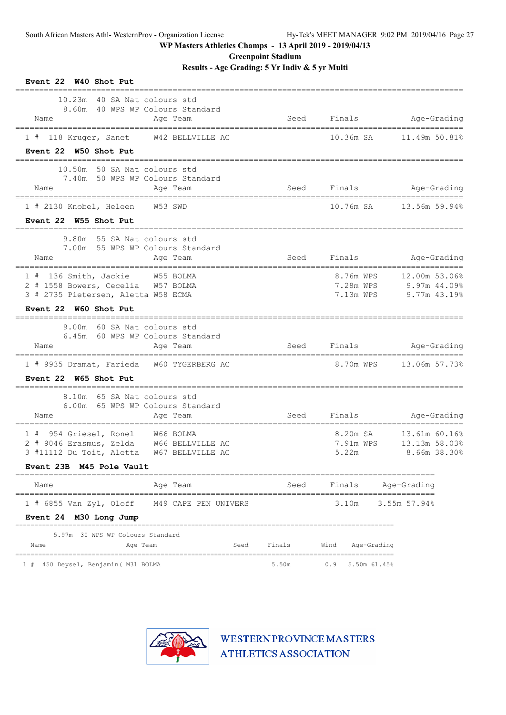**Greenpoint Stadium**

**Results - Age Grading: 5 Yr Indiv & 5 yr Multi**

| Event 22 W40 Shot Put                                                 |        |                         |                                 |
|-----------------------------------------------------------------------|--------|-------------------------|---------------------------------|
| 10.23m 40 SA Nat colours std<br>8.60m 40 WPS WP Colours Standard      |        |                         |                                 |
| Name<br>Age Team<br>===================================               |        | Seed Finals Age-Grading |                                 |
| 1 # 118 Kruger, Sanet W42 BELLVILLE AC                                |        | 10.36m SA               | 11.49m 50.81%                   |
| Event 22 W50 Shot Put<br>=======================<br>===============   |        |                         |                                 |
| 10.50m 50 SA Nat colours std                                          |        |                         |                                 |
| 7.40m 50 WPS WP Colours Standard<br>Age Team<br>Name                  |        | Seed Finals Age-Grading |                                 |
| 1 # 2130 Knobel, Heleen W53 SWD                                       |        |                         | 10.76m SA 13.56m 59.94%         |
| Event 22 W55 Shot Put                                                 |        |                         |                                 |
| 9.80m 55 SA Nat colours std                                           |        |                         |                                 |
| 7.00m 55 WPS WP Colours Standard<br>Age Team<br>Name                  | Seed   | Finals                  | Age-Grading                     |
|                                                                       |        |                         |                                 |
| 1 # 136 Smith, Jackie W55 BOLMA<br>2 # 1558 Bowers, Cecelia W57 BOLMA |        | 8.76m WPS<br>7.28m WPS  | 12.00m 53.06%<br>$9.97m$ 44.09% |
| 3 # 2735 Pietersen, Aletta W58 ECMA                                   |        | 7.13m WPS               | $9.77m$ 43.19%                  |
| Event 22 W60 Shot Put                                                 |        |                         |                                 |
| 9.00m 60 SA Nat colours std                                           |        |                         |                                 |
| 6.45m 60 WPS WP Colours Standard                                      |        | Seed Finals             | Age-Grading                     |
| Age Team<br>Name                                                      |        |                         |                                 |
| 1 # 9935 Dramat, Farieda W60 TYGERBERG AC                             |        |                         |                                 |
| Event 22 W65 Shot Put                                                 |        |                         |                                 |
| 8.10m 65 SA Nat colours std<br>6.00m 65 WPS WP Colours Standard       |        |                         |                                 |
| Name<br>Age Team                                                      |        | Seed Finals Age-Grading |                                 |
| 1 # 954 Griesel, Ronel W66 BOLMA                                      |        | 8.20m SA                | 13.61m 60.16%                   |
| 2 # 9046 Erasmus, Zelda W66 BELLVILLE AC                              |        | 7.91m WPS               | 13.13m 58.03%                   |
| 3 #11112 Du Toit, Aletta<br>W67 BELLVILLE AC                          |        | 5.22m                   | 8.66m 38.30%                    |
| Event 23B M45 Pole Vault                                              |        |                         |                                 |
| Age Team<br>Name                                                      | Seed   | Finals                  | Age-Grading                     |
| $1$ # 6855 Van Zyl, Oloff<br>M49 CAPE PEN UNIVERS                     |        | 3.10m                   | 3.55m 57.94%                    |
| Event 24 M30 Long Jump                                                |        |                         |                                 |
| 5.97m 30 WPS WP Colours Standard                                      |        |                         |                                 |
| Seed<br>Age Team<br>Name                                              | Finals | Wind<br>Age-Grading     |                                 |
| 1 # 450 Deysel, Benjamin ( M31 BOLMA                                  | 5.50m  | 0.9<br>5.50m 61.45%     |                                 |

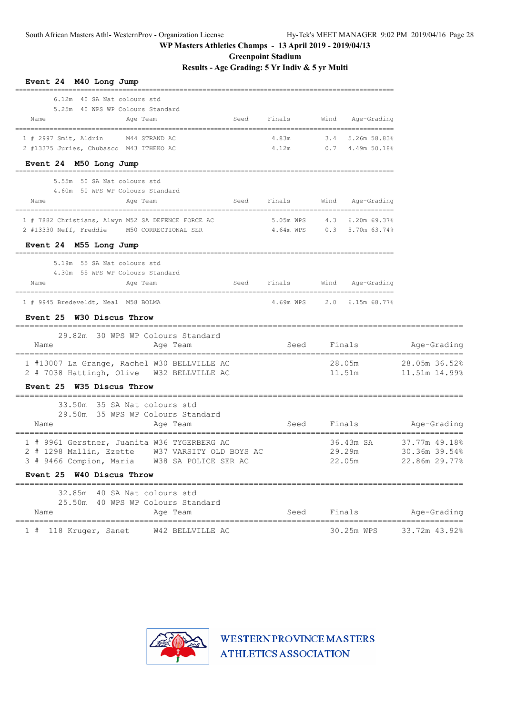**Greenpoint Stadium**

**Results - Age Grading: 5 Yr Indiv & 5 yr Multi**

| Event 24 M40 Long Jump                                                                                                                                                         |                                             |             |                                    |                                                 |
|--------------------------------------------------------------------------------------------------------------------------------------------------------------------------------|---------------------------------------------|-------------|------------------------------------|-------------------------------------------------|
| 6.12m 40 SA Nat colours std<br>5.25m 40 WPS WP Colours Standard<br>Name<br>Seed<br>Age Team                                                                                    | Finals                                      | Wind        | Age-Grading                        |                                                 |
| $1$ # 2997 Smit, Aldrin<br>M44 STRAND AC<br>2 #13375 Juries, Chubasco M43 ITHEKO AC                                                                                            | 4.83m<br>4.12m                              | 3.4         | 5.26m 58.83%<br>$0.7$ 4.49m 50.18% |                                                 |
| Event 24 M50 Long Jump<br>5.55m 50 SA Nat. colours std                                                                                                                         |                                             |             |                                    |                                                 |
| 4.60m 50 WPS WP Colours Standard<br>Name<br>Seed<br>Age Team                                                                                                                   | Finals                                      | Wind        | Age-Grading                        |                                                 |
| 1 # 7882 Christians, Alwyn M52 SA DEFENCE FORCE AC<br>2 #13330 Neff, Freddie M50 CORRECTIONAL SER<br>Event 24 M55 Long Jump                                                    | 5.05m WPS 4.3<br>4.64m WPS 0.3 5.70m 63.74% |             | $6.20m$ 69.37%                     |                                                 |
| 5.19m 55 SA Nat colours std<br>4.30m 55 WPS WP Colours Standard<br>Name<br>Age Team<br>Seed                                                                                    | Finals                                      | Wind        | Age-Grading                        |                                                 |
| 1 # 9945 Bredeveldt, Neal M58 BOLMA<br>Event 25 W30 Discus Throw                                                                                                               | 4.69m WPS                                   | 2.0         | $6.15m$ 68.77%                     |                                                 |
| 29.82m 30 WPS WP Colours Standard<br>Name<br>Age Team                                                                                                                          |                                             | Seed Finals |                                    | Age-Grading                                     |
| 1 #13007 La Grange, Rachel W30 BELLVILLE AC<br>2 # 7038 Hattingh, Olive  W32 BELLVILLE AC<br>Event 25 W35 Discus Throw                                                         |                                             | 28.05m      | 11.51m                             | 28.05m 36.52%<br>11.51m 14.99%                  |
| 33.50m 35 SA Nat colours std<br>29.50m 35 WPS WP Colours Standard<br>Name<br>Age Team<br>_______________________                                                               | Seed                                        |             | Finals                             | Age-Grading                                     |
| 1 # 9961 Gerstner, Juanita W36 TYGERBERG AC<br>2 # 1298 Mallin, Ezette W37 VARSITY OLD BOYS AC<br>3 # 9466 Compion, Maria<br>W38 SA POLICE SER AC<br>Event 25 W40 Discus Throw |                                             |             | 36.43m SA<br>29.29m<br>22.05m      | 37.77m 49.18%<br>30.36m 39.54%<br>22.86m 29.77% |
| 32.85m 40 SA Nat colours std<br>25.50m 40 WPS WP Colours Standard<br>Name<br>Age Team                                                                                          | Seed                                        |             | Finals                             | Age-Grading                                     |
| 118 Kruger, Sanet<br>W42 BELLVILLE AC<br>1#                                                                                                                                    | ===============================             |             | ====================<br>30.25m WPS | 33.72m 43.92%                                   |

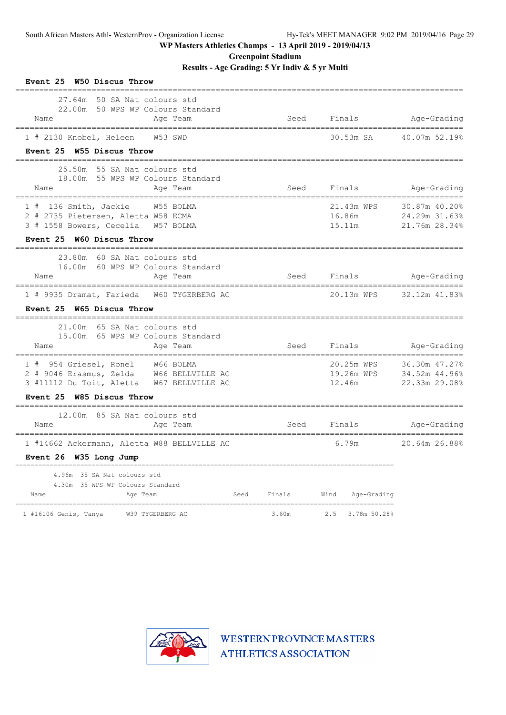**Greenpoint Stadium**

**Results - Age Grading: 5 Yr Indiv & 5 yr Multi**

| Event 25 W50 Discus Throw<br>______________________________                                                                                            |        |                                    |                                                 |
|--------------------------------------------------------------------------------------------------------------------------------------------------------|--------|------------------------------------|-------------------------------------------------|
| 50 SA Nat colours std<br>27.64m<br>22.00m 50 WPS WP Colours Standard<br>Name<br>Age Team<br>--------------------------------                           |        | Seed Finals                        | Age-Grading                                     |
| 1 # 2130 Knobel, Heleen W53 SWD<br>Event 25 W55 Discus Throw                                                                                           |        | 30.53m SA                          | 40.07m 52.19%                                   |
|                                                                                                                                                        |        |                                    |                                                 |
| 25.50m 55 SA Nat colours std<br>18.00m 55 WPS WP Colours Standard<br>Name<br>Age Team                                                                  | Seed   | Finals                             | Age-Grading                                     |
| $1$ # 136 Smith, Jackie<br>W55 BOLMA<br>2 # 2735 Pietersen, Aletta W58 ECMA<br>3 # 1558 Bowers, Cecelia W57 BOLMA                                      |        | 21.43m WPS<br>16.86m<br>15.11m     | 30.87m 40.20%<br>24.29m 31.63%<br>21.76m 28.34% |
| Event 25 W60 Discus Throw                                                                                                                              |        |                                    |                                                 |
| 23.80m 60 SA Nat colours std<br>16.00m 60 WPS WP Colours Standard<br>Age Team<br>Name                                                                  |        | Seed Finals                        | Age-Grading                                     |
| 1 # 9935 Dramat, Farieda W60 TYGERBERG AC                                                                                                              |        | 20.13m WPS                         | 32.12m 41.83%                                   |
| Event 25 W65 Discus Throw                                                                                                                              |        |                                    |                                                 |
| 21.00m 65 SA Nat colours std<br>15.00m 65 WPS WP Colours Standard<br>Age Team<br>Name                                                                  | Seed   | Finals                             | Age-Grading                                     |
| 1 # 954 Griesel, Ronel W66 BOLMA<br>2 # 9046 Erasmus, Zelda W66 BELLVILLE AC<br>3 #11112 Du Toit, Aletta W67 BELLVILLE AC<br>Event 25 W85 Discus Throw |        | 20.25m WPS<br>19.26m WPS<br>12.46m | 36.30m 47.27%<br>34.52m 44.96%<br>22.33m 29.08% |
| 12.00m 85 SA Nat colours std<br>Name<br>Age Team                                                                                                       | Seed   | Finals                             | Age-Grading                                     |
| 1 #14662 Ackermann, Aletta W88 BELLVILLE AC<br>Event 26 W35 Long Jump                                                                                  |        | 6.79m                              | .<br><br>20.64m 26.88%                          |
| 4.96m 35 SA Nat colours std<br>4.30m 35 WPS WP Colours Standard<br>Name<br>Age Team<br>Seed                                                            | Finals | Wind<br>Age-Grading                |                                                 |
| 1 #16106 Genis, Tanya W39 TYGERBERG AC                                                                                                                 | 3.60m  | 2.5 3.78m 50.28%                   |                                                 |

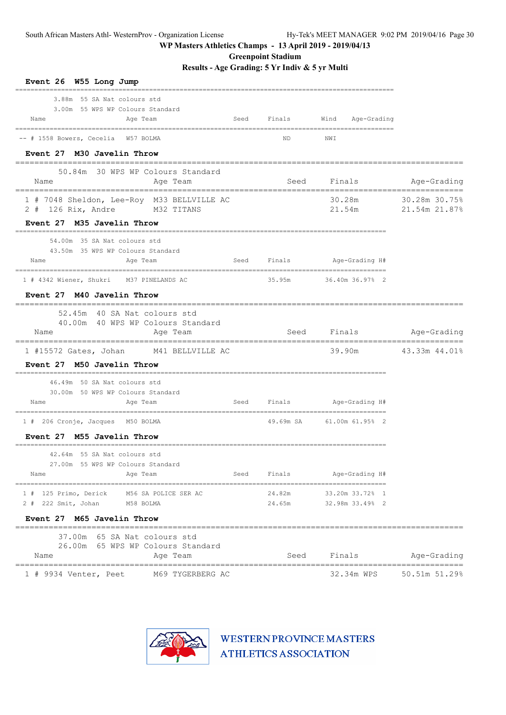**Greenpoint Stadium**

**Results - Age Grading: 5 Yr Indiv & 5 yr Multi**

| Event 26 W55 Long Jump                                                                |      |                  |                                    |                                |
|---------------------------------------------------------------------------------------|------|------------------|------------------------------------|--------------------------------|
| 3.88m 55 SA Nat colours std<br>3.00m 55 WPS WP Colours Standard<br>Name<br>Age Team   |      | Seed Finals      | Wind<br>Age-Grading                |                                |
| -- # 1558 Bowers, Cecelia W57 BOLMA                                                   |      | ND               | NWI                                |                                |
| Event 27 M30 Javelin Throw<br>=================                                       |      |                  |                                    |                                |
| 50.84m 30 WPS WP Colours Standard<br>Age Team<br>Name                                 |      | Seed             | Finals                             | Age-Grading                    |
| 1 # 7048 Sheldon, Lee-Roy M33 BELLVILLE AC<br>2 # 126 Rix, Andre M32 TITANS           |      |                  | 30.28m<br>21.54m                   | 30.28m 30.75%<br>21.54m 21.87% |
| Event 27 M35 Javelin Throw                                                            |      |                  |                                    |                                |
| 54.00m 35 SA Nat colours std<br>43.50m 35 WPS WP Colours Standard<br>Name<br>Age Team | Seed |                  | Finals Age-Grading H#              |                                |
| 1 # 4342 Wiener, Shukri M37 PINELANDS AC                                              |      | 35.95m           | 36.40m 36.97% 2                    |                                |
| Event 27 M40 Javelin Throw                                                            |      |                  |                                    |                                |
| 52.45m 40 SA Nat colours std<br>40.00m 40 WPS WP Colours Standard                     |      |                  |                                    |                                |
| Age Team<br>Name                                                                      |      |                  | Seed Finals                        | Age-Grading                    |
| $1$ #15572 Gates, Johan<br>M41 BELLVILLE AC<br>Event 27 M50 Javelin Throw             |      |                  | 39.90m                             | 43.33m 44.01%                  |
| 46.49m 50 SA Nat colours std<br>30.00m 50 WPS WP Colours Standard                     |      |                  |                                    |                                |
| Age Team<br>Name                                                                      |      |                  | Seed Finals Age-Grading H#         |                                |
| 1 # 206 Cronje, Jacques M50 BOLMA                                                     |      |                  | 49.69m SA 61.00m 61.95% 2          |                                |
| Event 27 M55 Javelin Throw                                                            |      |                  |                                    |                                |
| 42.64m 55 SA Nat colours std<br>27.00m 55 WPS WP Colours Standard<br>Name<br>Age Team | Seed | Finals           | Age-Grading H#                     |                                |
| 1 # 125 Primo, Derick<br>M56 SA POLICE SER AC<br>2 # 222 Smit, Johan<br>M58 BOLMA     |      | 24.82m<br>24.65m | 33.20m 33.72% 1<br>32.98m 33.49% 2 |                                |
| Event 27 M65 Javelin Throw                                                            |      |                  |                                    |                                |
| 37.00m 65 SA Nat colours std<br>26.00m 65 WPS WP Colours Standard<br>Name<br>Age Team |      | Seed             | Finals                             | Age-Grading                    |
|                                                                                       |      |                  |                                    |                                |

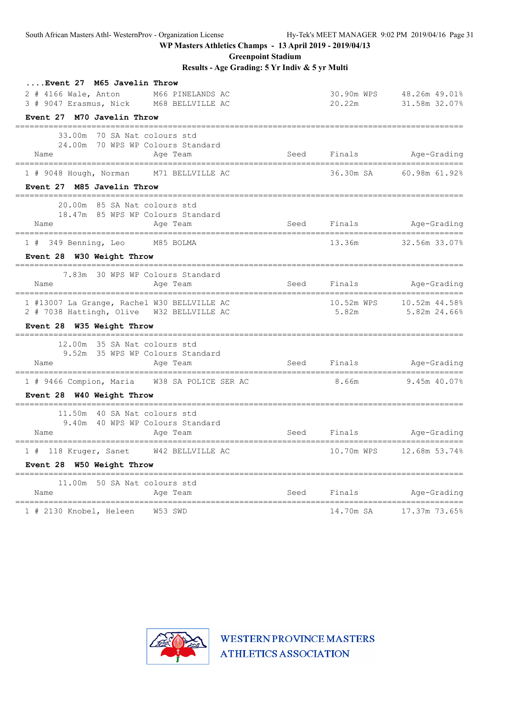**Greenpoint Stadium**

**Results - Age Grading: 5 Yr Indiv & 5 yr Multi**

| Event 27 M65 Javelin Throw<br>2 # 4166 Wale, Anton<br>M66 PINELANDS AC<br>3 # 9047 Erasmus, Nick M68 BELLVILLE AC |      | 30.90m WPS<br>20.22m                                                                                                                                                                                                           | 48.26m 49.01%<br>31.58m 32.07% |
|-------------------------------------------------------------------------------------------------------------------|------|--------------------------------------------------------------------------------------------------------------------------------------------------------------------------------------------------------------------------------|--------------------------------|
| Event 27 M70 Javelin Throw                                                                                        |      |                                                                                                                                                                                                                                |                                |
| ____________________________________<br>70 SA Nat colours std<br>33.00m                                           |      |                                                                                                                                                                                                                                |                                |
| 70 WPS WP Colours Standard<br>24.00m<br>Name<br>Age Team                                                          | Seed | Finals in the set of the set of the set of the set of the set of the set of the set of the set of the set of the set of the set of the set of the set of the set of the set of the set of the set of the set of the set of the | Age-Grading                    |
| 1 # 9048 Hough, Norman M71 BELLVILLE AC                                                                           |      | 36.30m SA                                                                                                                                                                                                                      | 60.98m 61.92%                  |
| Event 27 M85 Javelin Throw                                                                                        |      |                                                                                                                                                                                                                                |                                |
| 20.00m<br>85 SA Nat colours std                                                                                   |      |                                                                                                                                                                                                                                |                                |
| 18.47m 85 WPS WP Colours Standard<br>Name<br>Age Team<br>__________________________________                       | Seed | Finals                                                                                                                                                                                                                         | Age-Grading                    |
| 1 # 349 Benning, Leo M85 BOLMA                                                                                    |      | 13.36m                                                                                                                                                                                                                         | 32.56m 33.07%                  |
| Event 28 W30 Weight Throw                                                                                         |      |                                                                                                                                                                                                                                |                                |
| 30 WPS WP Colours Standard<br>7.83m<br>Name<br>Age Team                                                           | Seed | Finals in the set of the set of the set of the set of the set of the set of the set of the set of the set of the set of the set of the set of the set of the set of the set of the set of the set of the set of the set of the | Age-Grading                    |
| 1 #13007 La Grange, Rachel W30 BELLVILLE AC                                                                       |      | 10.52m WPS                                                                                                                                                                                                                     | 10.52m 44.58%                  |
| 2 # 7038 Hattingh, Olive W32 BELLVILLE AC                                                                         |      | 5.82m                                                                                                                                                                                                                          | 5.82m 24.66%                   |
| Event 28 W35 Weight Throw                                                                                         |      |                                                                                                                                                                                                                                |                                |
| 12.00m 35 SA Nat colours std                                                                                      |      |                                                                                                                                                                                                                                |                                |
| 9.52m 35 WPS WP Colours Standard<br>Name<br>Age Team                                                              | Seed |                                                                                                                                                                                                                                | Finals Age-Grading             |
| 1 # 9466 Compion, Maria W38 SA POLICE SER AC                                                                      |      | 8.66m                                                                                                                                                                                                                          | 9.45m 40.07%                   |
| Event 28 W40 Weight Throw                                                                                         |      |                                                                                                                                                                                                                                |                                |
| 11.50m 40 SA Nat colours std                                                                                      |      |                                                                                                                                                                                                                                |                                |
| 9.40m 40 WPS WP Colours Standard<br>Name<br>Age Team                                                              | Seed | Finals                                                                                                                                                                                                                         | Age-Grading                    |
| --------------------<br>1 # 118 Kruger, Sanet W42 BELLVILLE AC                                                    |      | 10.70m WPS                                                                                                                                                                                                                     | 12.68m 53.74%                  |
| Event 28 W50 Weight Throw                                                                                         |      |                                                                                                                                                                                                                                |                                |
| 11.00m 50 SA Nat colours std                                                                                      |      |                                                                                                                                                                                                                                |                                |
| Name<br>Age Team                                                                                                  | Seed | Finals                                                                                                                                                                                                                         | Age-Grading                    |
| 1 # 2130 Knobel, Heleen W53 SWD                                                                                   |      | 14.70m SA                                                                                                                                                                                                                      | 17.37m 73.65%                  |

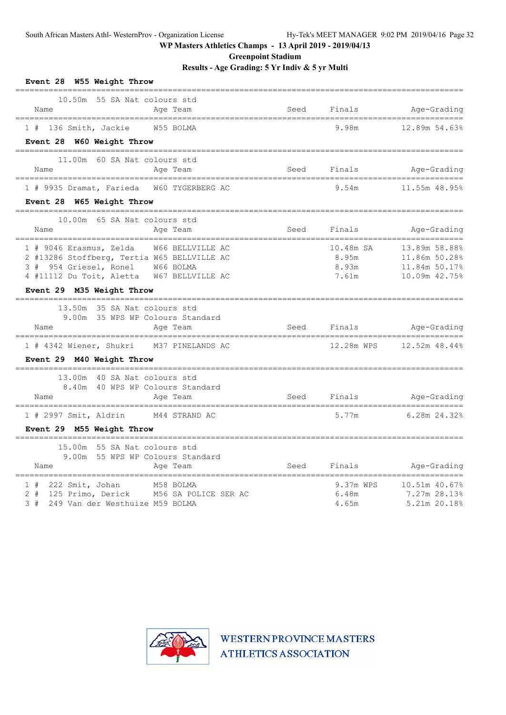**Greenpoint Stadium**

**Results - Age Grading: 5 Yr Indiv & 5 yr Multi**

| Event 28 W55 Weight Throw<br>=====================<br>=================                                                                                                                               |                              |                                      |                                                                  |
|-------------------------------------------------------------------------------------------------------------------------------------------------------------------------------------------------------|------------------------------|--------------------------------------|------------------------------------------------------------------|
| 10.50m 55 SA Nat colours std<br>Name<br>Age Team                                                                                                                                                      | Seed                         | Finals                               | Age-Grading                                                      |
| 1 # 136 Smith, Jackie<br>W55 BOLMA                                                                                                                                                                    |                              | 9.98m                                | 12.89m 54.63%                                                    |
| Event 28 W60 Weight Throw                                                                                                                                                                             |                              |                                      |                                                                  |
| 11.00m 60 SA Nat colours std<br>Name<br>Age Team                                                                                                                                                      | Seed                         | Finals                               | Age-Grading                                                      |
| 1 # 9935 Dramat, Farieda W60 TYGERBERG AC                                                                                                                                                             |                              | 9.54m                                | 11.55m 48.95%                                                    |
| Event 28 W65 Weight Throw                                                                                                                                                                             |                              |                                      |                                                                  |
| 10.00m 65 SA Nat colours std<br>Name<br>Age Team                                                                                                                                                      | Seed                         | Finals<br>========================== | Age-Grading                                                      |
| 1 # 9046 Erasmus, Zelda W66 BELLVILLE AC<br>2 #13286 Stoffberg, Tertia W65 BELLVILLE AC<br>3 # 954 Griesel, Ronel W66 BOLMA<br>4 #11112 Du Toit, Aletta W67 BELLVILLE AC<br>Event 29 M35 Weight Throw |                              | 10.48m SA<br>8.95m<br>8.93m<br>7.61m | 13.89m 58.88%<br>11.86m 50.28%<br>11.84m 50.17%<br>10.09m 42.75% |
| 13.50m 35 SA Nat colours std<br>9.00m 35 WPS WP Colours Standard<br>Age Team<br>Name                                                                                                                  |                              | Seed Finals                          | ------------------<br>Age-Grading                                |
| 1 # 4342 Wiener, Shukri M37 PINELANDS AC<br>Event 29 M40 Weight Throw                                                                                                                                 |                              |                                      |                                                                  |
| 13.00m 40 SA Nat colours std<br>8.40m 40 WPS WP Colours Standard<br>Name<br>Age Team                                                                                                                  |                              | Seed Finals                          | Age-Grading                                                      |
| M44 STRAND AC<br>1 # 2997 Smit, Aldrin                                                                                                                                                                |                              | 5.77m                                | 6.28m 24.32%                                                     |
| Event 29 M55 Weight Throw                                                                                                                                                                             |                              |                                      |                                                                  |
| 15.00m 55 SA Nat colours std<br>9.00m 55 WPS WP Colours Standard<br>Name<br>Age Team                                                                                                                  | ============================ | Seed Finals                          | Age-Grading                                                      |
| $1$ # 222 Smit, Johan<br>M58 BOLMA<br>2 # 125 Primo, Derick M56 SA POLICE SER AC<br>3 # 249 Van der Westhuize M59 BOLMA                                                                               |                              | 9.37m WPS<br>6.48m<br>4.65m          | 10.51m 40.67%<br>7.27m 28.13%<br>5.21m 20.18%                    |

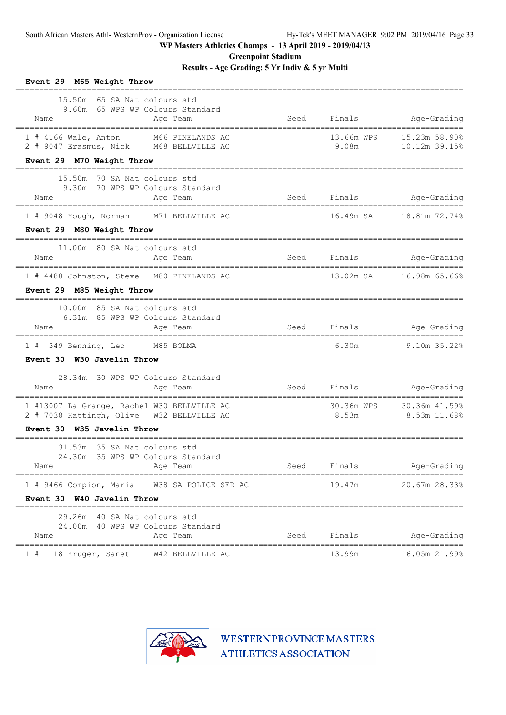**Greenpoint Stadium**

**Results - Age Grading: 5 Yr Indiv & 5 yr Multi**

| Event 29 M65 Weight Throw                                                                |      |                     |                                 |
|------------------------------------------------------------------------------------------|------|---------------------|---------------------------------|
| 15.50m 65 SA Nat colours std<br>9.60m 65 WPS WP Colours Standard<br>Age Team<br>Name     | Seed | Finals              | Age-Grading                     |
| 1 # 4166 Wale, Anton M66 PINELANDS AC<br>2 # 9047 Erasmus, Nick M68 BELLVILLE AC         |      | 13.66m WPS<br>9.08m | 15.23m 58.90%<br>10.12m 39.15%  |
| Event 29 M70 Weight Throw                                                                |      |                     |                                 |
| 15.50m 70 SA Nat colours std<br>9.30m 70 WPS WP Colours Standard<br>Age Team<br>Name     |      |                     | Seed Finals Age-Grading         |
| 1 # 9048 Hough, Norman M71 BELLVILLE AC                                                  |      |                     | 16.49m SA 18.81m 72.74%         |
| Event 29 M80 Weight Throw                                                                |      |                     |                                 |
| 11.00m 80 SA Nat colours std<br>Name<br>Age Team                                         |      | Seed Finals         | Age-Grading                     |
| 1 # 4480 Johnston, Steve M80 PINELANDS AC                                                |      |                     | 13.02m SA       16.98m 65.66%   |
| Event 29 M85 Weight Throw                                                                |      |                     |                                 |
| 10.00m 85 SA Nat colours std<br>6.31m 85 WPS WP Colours Standard                         |      |                     |                                 |
| Age Team<br>Name                                                                         |      |                     | Seed Finals Age-Grading         |
| 1 # 349 Benning, Leo M85 BOLMA                                                           |      | 6.30m               | 9.10m 35.22%                    |
| Event 30 W30 Javelin Throw                                                               |      |                     |                                 |
| 28.34m 30 WPS WP Colours Standard<br>Name<br>Age Team                                    |      |                     | Seed Finals Age-Grading         |
| 1 #13007 La Grange, Rachel W30 BELLVILLE AC<br>2 # 7038 Hattingh, Olive W32 BELLVILLE AC |      | 30.36m WPS<br>8.53m | 30.36m 41.59%<br>$8.53m$ 11.68% |
| Event 30 W35 Javelin Throw                                                               |      |                     |                                 |
| 31.53m 35 SA Nat colours std<br>24.30m 35 WPS WP Colours Standard<br>Name<br>Age Team    | Seed | Finals              | Age-Grading                     |
| 1 # 9466 Compion, Maria                                                                  |      | 19.47m              | 20.67m 28.33%                   |
| W38 SA POLICE SER AC<br>Event 30 W40 Javelin Throw                                       |      |                     |                                 |
| 29.26m 40 SA Nat colours std                                                             |      |                     |                                 |
| 24.00m 40 WPS WP Colours Standard<br>Name<br>Age Team                                    | Seed | Finals              | Age-Grading                     |
| W42 BELLVILLE AC<br>1 # 118 Kruger, Sanet                                                |      | 13.99m              | 16.05m 21.99%                   |